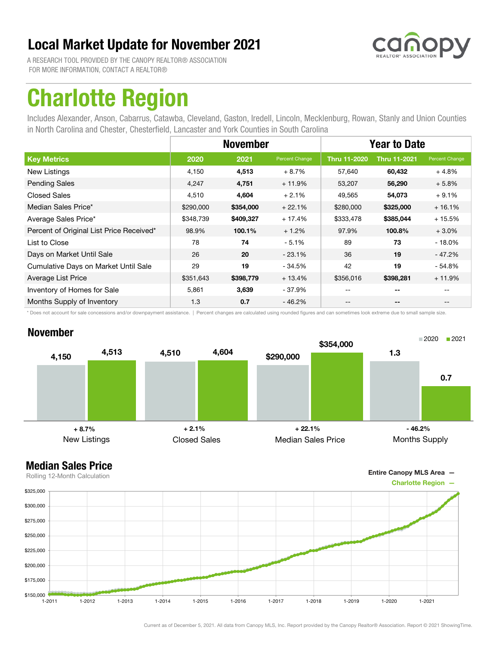

A RESEARCH TOOL PROVIDED BY THE CANOPY REALTOR® ASSOCIATION FOR MORE INFORMATION, CONTACT A REALTOR®

## Charlotte Region

Includes Alexander, Anson, Cabarrus, Catawba, Cleveland, Gaston, Iredell, Lincoln, Mecklenburg, Rowan, Stanly and Union Counties in North Carolina and Chester, Chesterfield, Lancaster and York Counties in South Carolina

|                                          |           | <b>November</b> |                | <b>Year to Date</b> |                          |                |
|------------------------------------------|-----------|-----------------|----------------|---------------------|--------------------------|----------------|
| <b>Key Metrics</b>                       | 2020      | 2021            | Percent Change | <b>Thru 11-2020</b> | <b>Thru 11-2021</b>      | Percent Change |
| New Listings                             | 4,150     | 4,513           | $+8.7%$        | 57,640              | 60,432                   | $+4.8%$        |
| <b>Pending Sales</b>                     | 4,247     | 4,751           | $+11.9%$       | 53,207              | 56,290                   | $+5.8%$        |
| <b>Closed Sales</b>                      | 4,510     | 4,604           | $+2.1%$        | 49,565              | 54,073                   | $+9.1%$        |
| Median Sales Price*                      | \$290,000 | \$354,000       | $+22.1%$       | \$280,000           | \$325,000                | $+16.1%$       |
| Average Sales Price*                     | \$348,739 | \$409,327       | $+17.4%$       | \$333,478           | \$385,044                | $+15.5%$       |
| Percent of Original List Price Received* | 98.9%     | 100.1%          | $+1.2%$        | 97.9%               | 100.8%                   | $+3.0\%$       |
| List to Close                            | 78        | 74              | $-5.1%$        | 89                  | 73                       | $-18.0\%$      |
| Days on Market Until Sale                | 26        | 20              | $-23.1%$       | 36                  | 19                       | - 47.2%        |
| Cumulative Days on Market Until Sale     | 29        | 19              | $-34.5%$       | 42                  | 19                       | - 54.8%        |
| Average List Price                       | \$351,643 | \$398,779       | $+13.4%$       | \$356,016           | \$398,281                | $+11.9%$       |
| Inventory of Homes for Sale              | 5,861     | 3,639           | $-37.9%$       |                     | $- -$                    |                |
| Months Supply of Inventory               | 1.3       | 0.7             | $-46.2%$       | --                  | $\overline{\phantom{a}}$ | $- -$          |

\* Does not account for sale concessions and/or downpayment assistance. | Percent changes are calculated using rounded figures and can sometimes look extreme due to small sample size.

### November





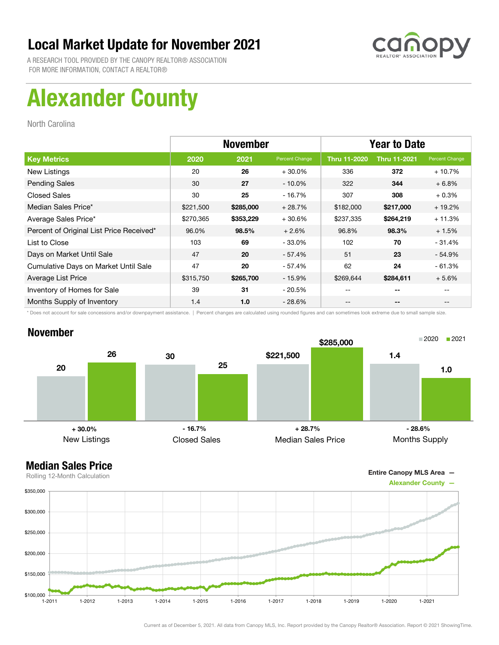

A RESEARCH TOOL PROVIDED BY THE CANOPY REALTOR® ASSOCIATION FOR MORE INFORMATION, CONTACT A REALTOR®

# Alexander County

North Carolina

|                                          | <b>November</b> |           |                | <b>Year to Date</b> |                     |                |
|------------------------------------------|-----------------|-----------|----------------|---------------------|---------------------|----------------|
| <b>Key Metrics</b>                       | 2020            | 2021      | Percent Change | <b>Thru 11-2020</b> | <b>Thru 11-2021</b> | Percent Change |
| New Listings                             | 20              | 26        | $+30.0%$       | 336                 | 372                 | $+10.7%$       |
| <b>Pending Sales</b>                     | 30              | 27        | $-10.0\%$      | 322                 | 344                 | $+6.8%$        |
| <b>Closed Sales</b>                      | 30              | 25        | $-16.7%$       | 307                 | 308                 | $+0.3%$        |
| Median Sales Price*                      | \$221,500       | \$285,000 | $+28.7%$       | \$182,000           | \$217,000           | $+19.2%$       |
| Average Sales Price*                     | \$270,365       | \$353,229 | $+30.6%$       | \$237,335           | \$264,219           | $+11.3%$       |
| Percent of Original List Price Received* | 96.0%           | 98.5%     | $+2.6%$        | 96.8%               | 98.3%               | $+1.5%$        |
| List to Close                            | 103             | 69        | $-33.0\%$      | 102                 | 70                  | $-31.4%$       |
| Days on Market Until Sale                | 47              | 20        | - 57.4%        | 51                  | 23                  | $-54.9%$       |
| Cumulative Days on Market Until Sale     | 47              | 20        | $-57.4%$       | 62                  | 24                  | $-61.3%$       |
| Average List Price                       | \$315,750       | \$265,700 | $-15.9%$       | \$269,644           | \$284,611           | $+5.6%$        |
| Inventory of Homes for Sale              | 39              | 31        | - 20.5%        | --                  | --                  |                |
| Months Supply of Inventory               | 1.4             | 1.0       | $-28.6\%$      | --                  | --                  |                |

\* Does not account for sale concessions and/or downpayment assistance. | Percent changes are calculated using rounded figures and can sometimes look extreme due to small sample size.

### November



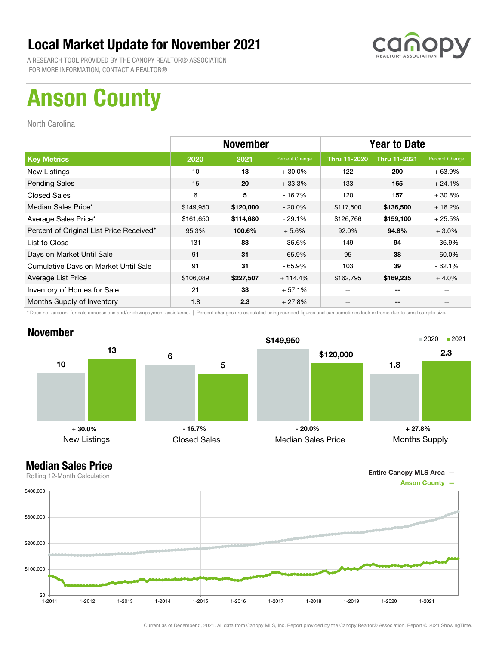

A RESEARCH TOOL PROVIDED BY THE CANOPY REALTOR® ASSOCIATION FOR MORE INFORMATION, CONTACT A REALTOR®

# Anson County

North Carolina

|                                          | <b>November</b> |           |                | <b>Year to Date</b> |                     |                |
|------------------------------------------|-----------------|-----------|----------------|---------------------|---------------------|----------------|
| <b>Key Metrics</b>                       | 2020            | 2021      | Percent Change | <b>Thru 11-2020</b> | <b>Thru 11-2021</b> | Percent Change |
| New Listings                             | 10              | 13        | $+30.0%$       | 122                 | 200                 | $+63.9%$       |
| <b>Pending Sales</b>                     | 15              | 20        | $+33.3%$       | 133                 | 165                 | $+24.1%$       |
| <b>Closed Sales</b>                      | 6               | 5         | $-16.7%$       | 120                 | 157                 | $+30.8%$       |
| Median Sales Price*                      | \$149,950       | \$120,000 | $-20.0\%$      | \$117,500           | \$136,500           | $+16.2%$       |
| Average Sales Price*                     | \$161,650       | \$114,680 | $-29.1%$       | \$126,766           | \$159,100           | $+25.5%$       |
| Percent of Original List Price Received* | 95.3%           | 100.6%    | $+5.6%$        | 92.0%               | 94.8%               | $+3.0\%$       |
| List to Close                            | 131             | 83        | $-36.6%$       | 149                 | 94                  | $-36.9%$       |
| Days on Market Until Sale                | 91              | 31        | $-65.9\%$      | 95                  | 38                  | $-60.0\%$      |
| Cumulative Days on Market Until Sale     | 91              | 31        | - 65.9%        | 103                 | 39                  | $-62.1%$       |
| Average List Price                       | \$106,089       | \$227,507 | $+114.4%$      | \$162,795           | \$169,235           | $+4.0%$        |
| Inventory of Homes for Sale              | 21              | 33        | $+57.1%$       | --                  | --                  |                |
| Months Supply of Inventory               | 1.8             | 2.3       | $+27.8%$       | --                  | --                  |                |

\* Does not account for sale concessions and/or downpayment assistance. | Percent changes are calculated using rounded figures and can sometimes look extreme due to small sample size.

### November



Entire Canopy MLS Area —

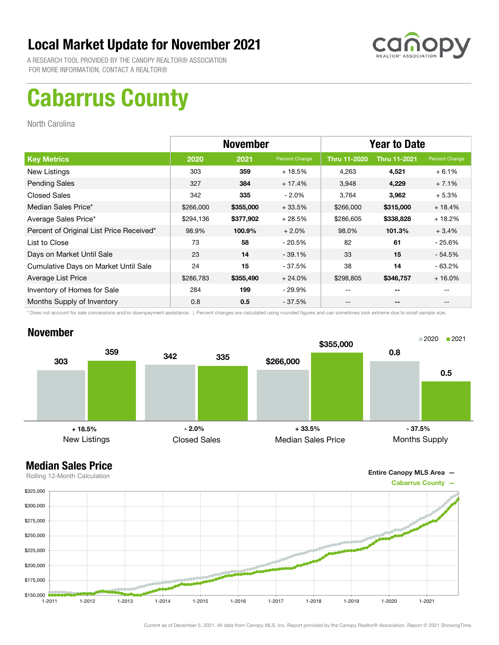

A RESEARCH TOOL PROVIDED BY THE CANOPY REALTOR® ASSOCIATION FOR MORE INFORMATION, CONTACT A REALTOR®

# Cabarrus County

North Carolina

|                                          | <b>November</b> |           |                | <b>Year to Date</b> |                     |                |
|------------------------------------------|-----------------|-----------|----------------|---------------------|---------------------|----------------|
| <b>Key Metrics</b>                       | 2020            | 2021      | Percent Change | <b>Thru 11-2020</b> | <b>Thru 11-2021</b> | Percent Change |
| New Listings                             | 303             | 359       | $+18.5%$       | 4,263               | 4,521               | $+6.1%$        |
| <b>Pending Sales</b>                     | 327             | 384       | $+17.4%$       | 3,948               | 4,229               | $+7.1%$        |
| <b>Closed Sales</b>                      | 342             | 335       | $-2.0\%$       | 3,764               | 3,962               | $+5.3%$        |
| Median Sales Price*                      | \$266,000       | \$355,000 | $+33.5%$       | \$266,000           | \$315,000           | $+18.4%$       |
| Average Sales Price*                     | \$294,136       | \$377,902 | $+28.5%$       | \$286,605           | \$338,828           | $+18.2%$       |
| Percent of Original List Price Received* | 98.9%           | 100.9%    | $+2.0%$        | 98.0%               | 101.3%              | $+3.4%$        |
| List to Close                            | 73              | 58        | - 20.5%        | 82                  | 61                  | - 25.6%        |
| Days on Market Until Sale                | 23              | 14        | $-39.1%$       | 33                  | 15                  | $-54.5%$       |
| Cumulative Days on Market Until Sale     | 24              | 15        | - 37.5%        | 38                  | 14                  | $-63.2%$       |
| Average List Price                       | \$286,783       | \$355,490 | $+24.0%$       | \$298,805           | \$346,757           | $+16.0%$       |
| Inventory of Homes for Sale              | 284             | 199       | - 29.9%        | --                  | --                  |                |
| Months Supply of Inventory               | 0.8             | 0.5       | $-37.5%$       | --                  | --                  |                |

\* Does not account for sale concessions and/or downpayment assistance. | Percent changes are calculated using rounded figures and can sometimes look extreme due to small sample size.

### November



Entire Canopy MLS Area —

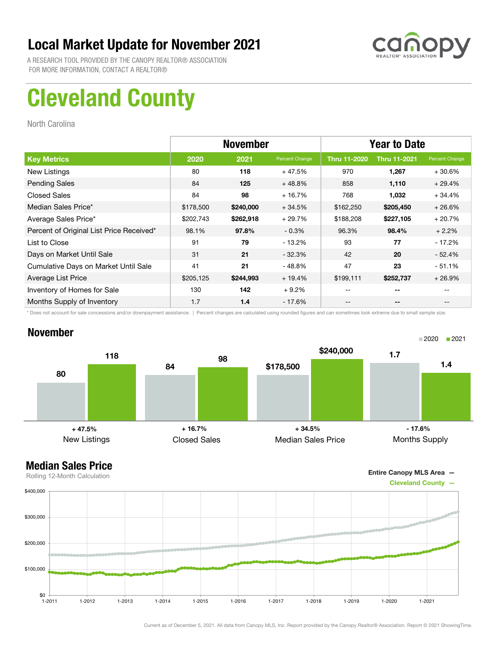

A RESEARCH TOOL PROVIDED BY THE CANOPY REALTOR® ASSOCIATION FOR MORE INFORMATION, CONTACT A REALTOR®

# Cleveland County

North Carolina

|                                          | <b>November</b> |           |                | <b>Year to Date</b> |                     |                |
|------------------------------------------|-----------------|-----------|----------------|---------------------|---------------------|----------------|
| <b>Key Metrics</b>                       | 2020            | 2021      | Percent Change | <b>Thru 11-2020</b> | <b>Thru 11-2021</b> | Percent Change |
| New Listings                             | 80              | 118       | $+47.5%$       | 970                 | 1,267               | $+30.6%$       |
| <b>Pending Sales</b>                     | 84              | 125       | $+48.8%$       | 858                 | 1,110               | $+29.4%$       |
| <b>Closed Sales</b>                      | 84              | 98        | $+16.7%$       | 768                 | 1,032               | $+34.4%$       |
| Median Sales Price*                      | \$178,500       | \$240,000 | $+34.5%$       | \$162,250           | \$205,450           | $+26.6%$       |
| Average Sales Price*                     | \$202,743       | \$262,918 | $+29.7%$       | \$188,208           | \$227,105           | $+20.7%$       |
| Percent of Original List Price Received* | 98.1%           | 97.8%     | $-0.3%$        | 96.3%               | 98.4%               | $+2.2%$        |
| List to Close                            | 91              | 79        | $-13.2\%$      | 93                  | 77                  | $-17.2%$       |
| Days on Market Until Sale                | 31              | 21        | $-32.3%$       | 42                  | 20                  | $-52.4%$       |
| Cumulative Days on Market Until Sale     | 41              | 21        | - 48.8%        | 47                  | 23                  | $-51.1%$       |
| Average List Price                       | \$205,125       | \$244,993 | $+19.4%$       | \$199,111           | \$252,737           | $+26.9\%$      |
| Inventory of Homes for Sale              | 130             | 142       | $+9.2%$        |                     | --                  |                |
| Months Supply of Inventory               | 1.7             | 1.4       | - 17.6%        | --                  | --                  |                |

\* Does not account for sale concessions and/or downpayment assistance. | Percent changes are calculated using rounded figures and can sometimes look extreme due to small sample size.

### November





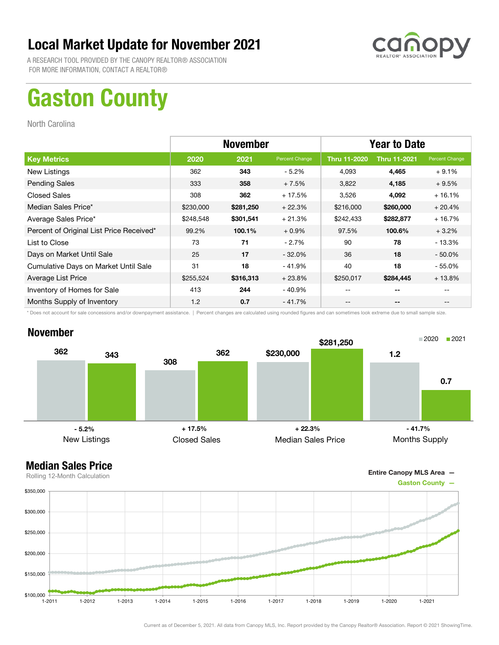

A RESEARCH TOOL PROVIDED BY THE CANOPY REALTOR® ASSOCIATION FOR MORE INFORMATION, CONTACT A REALTOR®

## Gaston County

North Carolina

|                                          | <b>November</b> |           |                | <b>Year to Date</b> |                     |                |
|------------------------------------------|-----------------|-----------|----------------|---------------------|---------------------|----------------|
| <b>Key Metrics</b>                       | 2020            | 2021      | Percent Change | <b>Thru 11-2020</b> | <b>Thru 11-2021</b> | Percent Change |
| New Listings                             | 362             | 343       | $-5.2\%$       | 4,093               | 4,465               | $+9.1%$        |
| <b>Pending Sales</b>                     | 333             | 358       | $+7.5%$        | 3,822               | 4,185               | $+9.5%$        |
| <b>Closed Sales</b>                      | 308             | 362       | $+17.5%$       | 3,526               | 4,092               | $+16.1%$       |
| Median Sales Price*                      | \$230,000       | \$281,250 | $+22.3%$       | \$216,000           | \$260,000           | $+20.4%$       |
| Average Sales Price*                     | \$248,548       | \$301,541 | $+21.3%$       | \$242,433           | \$282,877           | $+16.7%$       |
| Percent of Original List Price Received* | 99.2%           | 100.1%    | $+0.9%$        | 97.5%               | 100.6%              | $+3.2%$        |
| List to Close                            | 73              | 71        | $-2.7%$        | 90                  | 78                  | $-13.3%$       |
| Days on Market Until Sale                | 25              | 17        | $-32.0\%$      | 36                  | 18                  | $-50.0\%$      |
| Cumulative Days on Market Until Sale     | 31              | 18        | $-41.9%$       | 40                  | 18                  | $-55.0%$       |
| Average List Price                       | \$255,524       | \$316,313 | $+23.8%$       | \$250,017           | \$284,445           | $+13.8%$       |
| Inventory of Homes for Sale              | 413             | 244       | - 40.9%        | --                  | --                  |                |
| Months Supply of Inventory               | 1.2             | 0.7       | $-41.7%$       | --                  | --                  |                |

\* Does not account for sale concessions and/or downpayment assistance. | Percent changes are calculated using rounded figures and can sometimes look extreme due to small sample size.

### November



Entire Canopy MLS Area —

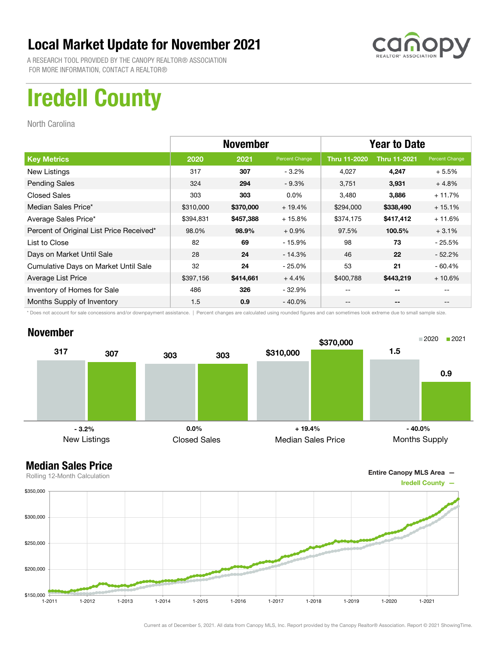

A RESEARCH TOOL PROVIDED BY THE CANOPY REALTOR® ASSOCIATION FOR MORE INFORMATION, CONTACT A REALTOR®

# Iredell County

North Carolina

|                                          | <b>November</b> |           |                | <b>Year to Date</b> |                     |                |
|------------------------------------------|-----------------|-----------|----------------|---------------------|---------------------|----------------|
| <b>Key Metrics</b>                       | 2020            | 2021      | Percent Change | <b>Thru 11-2020</b> | <b>Thru 11-2021</b> | Percent Change |
| New Listings                             | 317             | 307       | $-3.2%$        | 4,027               | 4,247               | $+5.5%$        |
| <b>Pending Sales</b>                     | 324             | 294       | $-9.3%$        | 3,751               | 3,931               | $+4.8%$        |
| <b>Closed Sales</b>                      | 303             | 303       | $0.0\%$        | 3,480               | 3,886               | $+11.7%$       |
| Median Sales Price*                      | \$310,000       | \$370,000 | $+19.4%$       | \$294,000           | \$338,490           | $+15.1%$       |
| Average Sales Price*                     | \$394,831       | \$457,388 | $+15.8%$       | \$374,175           | \$417,412           | $+11.6%$       |
| Percent of Original List Price Received* | 98.0%           | 98.9%     | $+0.9%$        | 97.5%               | 100.5%              | $+3.1%$        |
| List to Close                            | 82              | 69        | $-15.9%$       | 98                  | 73                  | - 25.5%        |
| Days on Market Until Sale                | 28              | 24        | $-14.3%$       | 46                  | 22                  | $-52.2%$       |
| Cumulative Days on Market Until Sale     | 32              | 24        | $-25.0\%$      | 53                  | 21                  | $-60.4%$       |
| Average List Price                       | \$397,156       | \$414,661 | $+4.4%$        | \$400,788           | \$443,219           | $+10.6%$       |
| Inventory of Homes for Sale              | 486             | 326       | $-32.9%$       | --                  | --                  |                |
| Months Supply of Inventory               | 1.5             | 0.9       | $-40.0\%$      | --                  | --                  | $- -$          |

\* Does not account for sale concessions and/or downpayment assistance. | Percent changes are calculated using rounded figures and can sometimes look extreme due to small sample size.

### November



### Median Sales Price



Current as of December 5, 2021. All data from Canopy MLS, Inc. Report provided by the Canopy Realtor® Association. Report © 2021 ShowingTime.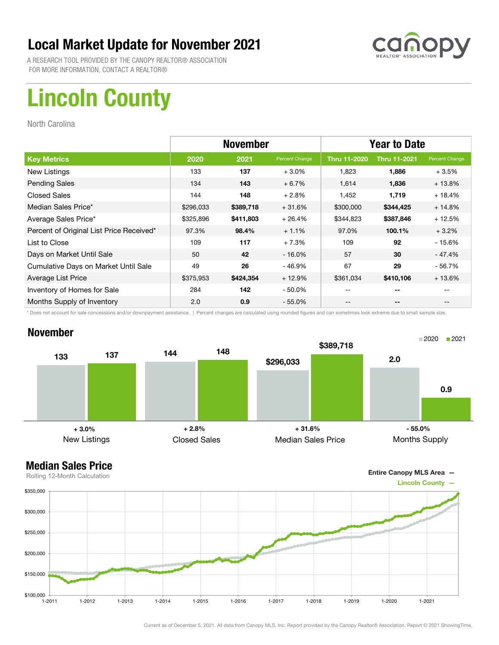

A RESEARCH TOOL PROVIDED BY THE CANOPY REALTOR® ASSOCIATION FOR MORE INFORMATION, CONTACT A REALTOR®

# Lincoln County

North Carolina

|                                          | <b>November</b> |           |                | <b>Year to Date</b> |                     |                |
|------------------------------------------|-----------------|-----------|----------------|---------------------|---------------------|----------------|
| <b>Key Metrics</b>                       | 2020            | 2021      | Percent Change | <b>Thru 11-2020</b> | <b>Thru 11-2021</b> | Percent Change |
| New Listings                             | 133             | 137       | $+3.0%$        | 1,823               | 1,886               | $+3.5%$        |
| <b>Pending Sales</b>                     | 134             | 143       | $+6.7%$        | 1,614               | 1,836               | $+13.8%$       |
| <b>Closed Sales</b>                      | 144             | 148       | $+2.8%$        | 1,452               | 1,719               | $+18.4%$       |
| Median Sales Price*                      | \$296,033       | \$389,718 | $+31.6%$       | \$300,000           | \$344,425           | $+14.8%$       |
| Average Sales Price*                     | \$325,896       | \$411,803 | $+26.4%$       | \$344,823           | \$387,846           | $+12.5%$       |
| Percent of Original List Price Received* | 97.3%           | 98.4%     | $+1.1%$        | 97.0%               | 100.1%              | $+3.2%$        |
| List to Close                            | 109             | 117       | $+7.3%$        | 109                 | 92                  | $-15.6%$       |
| Days on Market Until Sale                | 50              | 42        | $-16.0\%$      | 57                  | 30                  | - 47.4%        |
| Cumulative Days on Market Until Sale     | 49              | 26        | $-46.9%$       | 67                  | 29                  | $-56.7%$       |
| Average List Price                       | \$375,953       | \$424,354 | $+12.9%$       | \$361,034           | \$410,106           | $+13.6%$       |
| Inventory of Homes for Sale              | 284             | 142       | $-50.0\%$      | --                  | --                  |                |
| Months Supply of Inventory               | 2.0             | 0.9       | $-55.0\%$      | --                  | --                  |                |

\* Does not account for sale concessions and/or downpayment assistance. | Percent changes are calculated using rounded figures and can sometimes look extreme due to small sample size.

### November





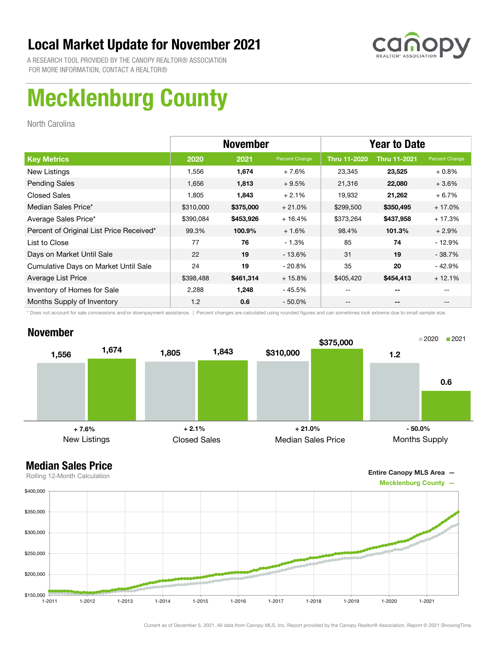

A RESEARCH TOOL PROVIDED BY THE CANOPY REALTOR® ASSOCIATION FOR MORE INFORMATION, CONTACT A REALTOR®

# Mecklenburg County

North Carolina

|                                          | <b>November</b> |           |                | <b>Year to Date</b> |                     |                |
|------------------------------------------|-----------------|-----------|----------------|---------------------|---------------------|----------------|
| <b>Key Metrics</b>                       | 2020            | 2021      | Percent Change | <b>Thru 11-2020</b> | <b>Thru 11-2021</b> | Percent Change |
| New Listings                             | 1,556           | 1,674     | $+7.6%$        | 23,345              | 23,525              | $+0.8\%$       |
| <b>Pending Sales</b>                     | 1,656           | 1,813     | $+9.5%$        | 21,316              | 22,080              | $+3.6%$        |
| <b>Closed Sales</b>                      | 1,805           | 1,843     | $+2.1%$        | 19,932              | 21,262              | $+6.7%$        |
| Median Sales Price*                      | \$310,000       | \$375,000 | $+21.0%$       | \$299,500           | \$350,495           | $+17.0%$       |
| Average Sales Price*                     | \$390,084       | \$453,926 | $+16.4%$       | \$373,264           | \$437,958           | $+17.3%$       |
| Percent of Original List Price Received* | 99.3%           | 100.9%    | $+1.6%$        | 98.4%               | 101.3%              | $+2.9%$        |
| List to Close                            | 77              | 76        | $-1.3%$        | 85                  | 74                  | - 12.9%        |
| Days on Market Until Sale                | 22              | 19        | $-13.6\%$      | 31                  | 19                  | $-38.7%$       |
| Cumulative Days on Market Until Sale     | 24              | 19        | $-20.8%$       | 35                  | 20                  | $-42.9%$       |
| Average List Price                       | \$398,488       | \$461,314 | $+15.8%$       | \$405,420           | \$454,413           | $+12.1%$       |
| Inventory of Homes for Sale              | 2,288           | 1,248     | $-45.5%$       | --                  | --                  |                |
| Months Supply of Inventory               | 1.2             | 0.6       | $-50.0\%$      | --                  | --                  | $- -$          |

\* Does not account for sale concessions and/or downpayment assistance. | Percent changes are calculated using rounded figures and can sometimes look extreme due to small sample size.

### November



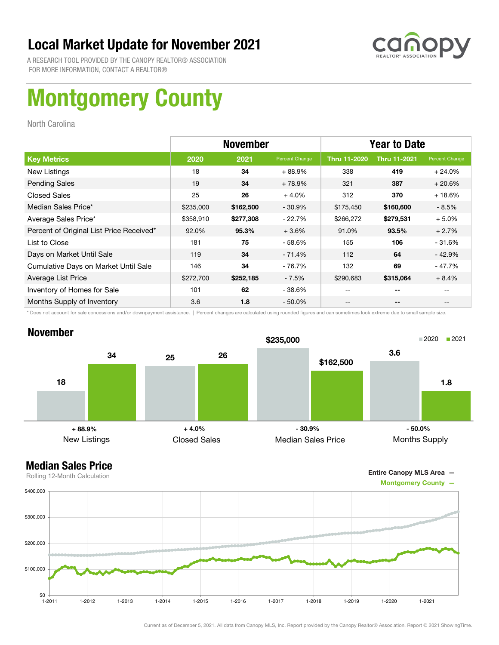

A RESEARCH TOOL PROVIDED BY THE CANOPY REALTOR® ASSOCIATION FOR MORE INFORMATION, CONTACT A REALTOR®

# Montgomery County

North Carolina

|                                          | <b>November</b> |           |                | <b>Year to Date</b> |                          |                |
|------------------------------------------|-----------------|-----------|----------------|---------------------|--------------------------|----------------|
| <b>Key Metrics</b>                       | 2020            | 2021      | Percent Change | <b>Thru 11-2020</b> | <b>Thru 11-2021</b>      | Percent Change |
| New Listings                             | 18              | 34        | $+88.9%$       | 338                 | 419                      | $+24.0%$       |
| <b>Pending Sales</b>                     | 19              | 34        | $+78.9%$       | 321                 | 387                      | $+20.6%$       |
| <b>Closed Sales</b>                      | 25              | 26        | $+4.0%$        | 312                 | 370                      | $+18.6%$       |
| Median Sales Price*                      | \$235,000       | \$162,500 | $-30.9%$       | \$175,450           | \$160,600                | $-8.5%$        |
| Average Sales Price*                     | \$358,910       | \$277,308 | $-22.7%$       | \$266,272           | \$279,531                | $+5.0%$        |
| Percent of Original List Price Received* | 92.0%           | 95.3%     | $+3.6%$        | 91.0%               | 93.5%                    | $+2.7%$        |
| List to Close                            | 181             | 75        | $-58.6%$       | 155                 | 106                      | - 31.6%        |
| Days on Market Until Sale                | 119             | 34        | $-71.4%$       | 112                 | 64                       | $-42.9%$       |
| Cumulative Days on Market Until Sale     | 146             | 34        | $-76.7%$       | 132                 | 69                       | - 47.7%        |
| Average List Price                       | \$272,700       | \$252,185 | $-7.5%$        | \$290,683           | \$315,064                | $+8.4%$        |
| Inventory of Homes for Sale              | 101             | 62        | $-38.6%$       |                     | --                       |                |
| Months Supply of Inventory               | 3.6             | 1.8       | $-50.0\%$      |                     | $\overline{\phantom{a}}$ |                |

\* Does not account for sale concessions and/or downpayment assistance. | Percent changes are calculated using rounded figures and can sometimes look extreme due to small sample size.

### November



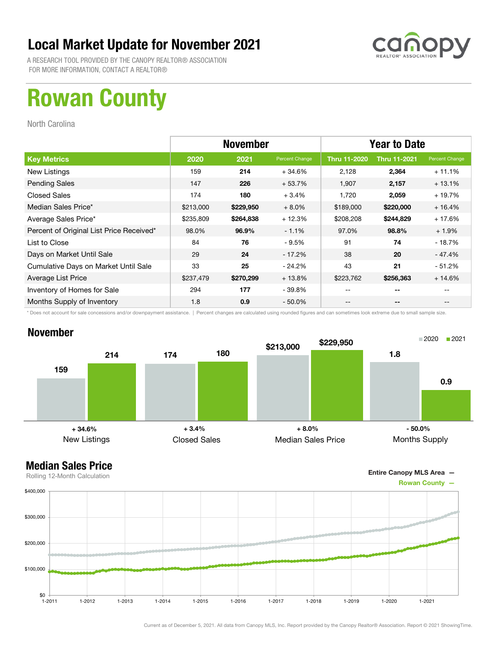

A RESEARCH TOOL PROVIDED BY THE CANOPY REALTOR® ASSOCIATION FOR MORE INFORMATION, CONTACT A REALTOR®

## Rowan County

North Carolina

|                                          | <b>November</b> |           |                | <b>Year to Date</b> |                     |                |
|------------------------------------------|-----------------|-----------|----------------|---------------------|---------------------|----------------|
| <b>Key Metrics</b>                       | 2020            | 2021      | Percent Change | <b>Thru 11-2020</b> | <b>Thru 11-2021</b> | Percent Change |
| New Listings                             | 159             | 214       | $+34.6%$       | 2,128               | 2,364               | $+11.1%$       |
| <b>Pending Sales</b>                     | 147             | 226       | $+53.7%$       | 1,907               | 2,157               | $+13.1%$       |
| <b>Closed Sales</b>                      | 174             | 180       | $+3.4%$        | 1,720               | 2,059               | $+19.7%$       |
| Median Sales Price*                      | \$213,000       | \$229,950 | $+8.0%$        | \$189,000           | \$220,000           | $+16.4%$       |
| Average Sales Price*                     | \$235,809       | \$264,838 | $+12.3%$       | \$208,208           | \$244,829           | $+17.6%$       |
| Percent of Original List Price Received* | 98.0%           | 96.9%     | $-1.1%$        | 97.0%               | 98.8%               | $+1.9%$        |
| List to Close                            | 84              | 76        | $-9.5%$        | 91                  | 74                  | $-18.7%$       |
| Days on Market Until Sale                | 29              | 24        | - 17.2%        | 38                  | 20                  | - 47.4%        |
| Cumulative Days on Market Until Sale     | 33              | 25        | $-24.2\%$      | 43                  | 21                  | $-51.2%$       |
| Average List Price                       | \$237,479       | \$270,299 | $+13.8%$       | \$223,762           | \$256,363           | $+14.6%$       |
| Inventory of Homes for Sale              | 294             | 177       | - 39.8%        | --                  | --                  |                |
| Months Supply of Inventory               | 1.8             | 0.9       | $-50.0\%$      | --                  | --                  |                |

\* Does not account for sale concessions and/or downpayment assistance. | Percent changes are calculated using rounded figures and can sometimes look extreme due to small sample size.

### November



Entire Canopy MLS Area —

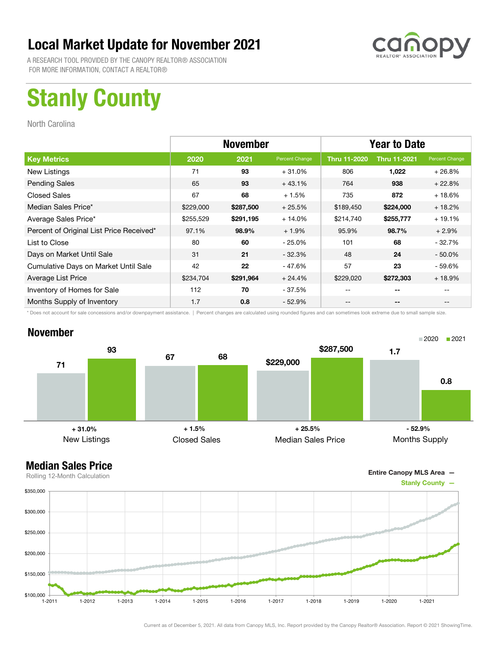

A RESEARCH TOOL PROVIDED BY THE CANOPY REALTOR® ASSOCIATION FOR MORE INFORMATION, CONTACT A REALTOR®

# Stanly County

North Carolina

|                                          | <b>November</b> |           |                | <b>Year to Date</b> |                     |                |
|------------------------------------------|-----------------|-----------|----------------|---------------------|---------------------|----------------|
| <b>Key Metrics</b>                       | 2020            | 2021      | Percent Change | <b>Thru 11-2020</b> | <b>Thru 11-2021</b> | Percent Change |
| New Listings                             | 71              | 93        | $+31.0%$       | 806                 | 1,022               | $+26.8%$       |
| <b>Pending Sales</b>                     | 65              | 93        | $+43.1%$       | 764                 | 938                 | $+22.8%$       |
| <b>Closed Sales</b>                      | 67              | 68        | $+1.5%$        | 735                 | 872                 | $+18.6%$       |
| Median Sales Price*                      | \$229,000       | \$287,500 | $+25.5%$       | \$189,450           | \$224,000           | $+18.2%$       |
| Average Sales Price*                     | \$255,529       | \$291,195 | $+14.0%$       | \$214,740           | \$255,777           | $+19.1%$       |
| Percent of Original List Price Received* | 97.1%           | 98.9%     | $+1.9%$        | 95.9%               | 98.7%               | $+2.9%$        |
| List to Close                            | 80              | 60        | $-25.0%$       | 101                 | 68                  | $-32.7%$       |
| Days on Market Until Sale                | 31              | 21        | $-32.3%$       | 48                  | 24                  | $-50.0\%$      |
| Cumulative Days on Market Until Sale     | 42              | 22        | $-47.6%$       | 57                  | 23                  | - 59.6%        |
| Average List Price                       | \$234,704       | \$291,964 | $+24.4%$       | \$229,020           | \$272,303           | $+18.9%$       |
| Inventory of Homes for Sale              | 112             | 70        | - 37.5%        | --                  | --                  |                |
| Months Supply of Inventory               | 1.7             | 0.8       | $-52.9%$       | --                  | --                  |                |

\* Does not account for sale concessions and/or downpayment assistance. | Percent changes are calculated using rounded figures and can sometimes look extreme due to small sample size.

### November



Entire Canopy MLS Area —

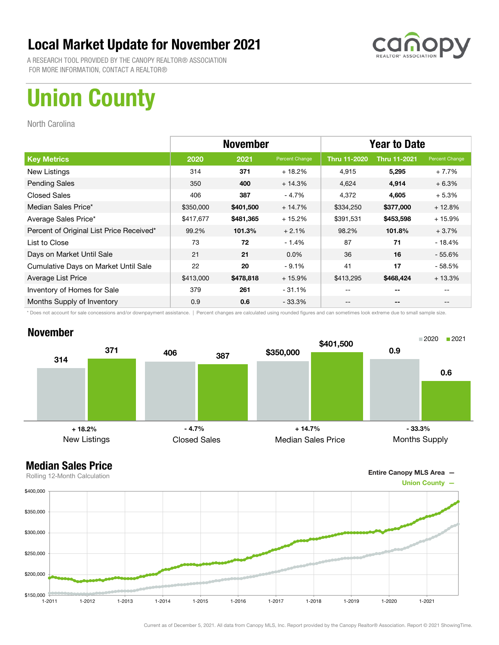

A RESEARCH TOOL PROVIDED BY THE CANOPY REALTOR® ASSOCIATION FOR MORE INFORMATION, CONTACT A REALTOR®

# Union County

North Carolina

|                                          | <b>November</b> |           |                | <b>Year to Date</b> |                     |                |
|------------------------------------------|-----------------|-----------|----------------|---------------------|---------------------|----------------|
| <b>Key Metrics</b>                       | 2020            | 2021      | Percent Change | <b>Thru 11-2020</b> | <b>Thru 11-2021</b> | Percent Change |
| New Listings                             | 314             | 371       | $+18.2%$       | 4,915               | 5,295               | $+7.7%$        |
| <b>Pending Sales</b>                     | 350             | 400       | $+14.3%$       | 4,624               | 4,914               | $+6.3%$        |
| <b>Closed Sales</b>                      | 406             | 387       | - 4.7%         | 4,372               | 4,605               | $+5.3%$        |
| Median Sales Price*                      | \$350,000       | \$401,500 | $+14.7%$       | \$334,250           | \$377,000           | $+12.8%$       |
| Average Sales Price*                     | \$417,677       | \$481,365 | $+15.2%$       | \$391,531           | \$453,598           | $+15.9%$       |
| Percent of Original List Price Received* | 99.2%           | 101.3%    | $+2.1%$        | 98.2%               | 101.8%              | $+3.7%$        |
| List to Close                            | 73              | 72        | $-1.4%$        | 87                  | 71                  | $-18.4%$       |
| Days on Market Until Sale                | 21              | 21        | $0.0\%$        | 36                  | 16                  | $-55.6%$       |
| Cumulative Days on Market Until Sale     | 22              | 20        | $-9.1%$        | 41                  | 17                  | - 58.5%        |
| Average List Price                       | \$413,000       | \$478,818 | $+15.9%$       | \$413,295           | \$468,424           | $+13.3%$       |
| Inventory of Homes for Sale              | 379             | 261       | $-31.1%$       | --                  | --                  |                |
| Months Supply of Inventory               | 0.9             | 0.6       | $-33.3\%$      | --                  | --                  |                |

\* Does not account for sale concessions and/or downpayment assistance. | Percent changes are calculated using rounded figures and can sometimes look extreme due to small sample size.

### November





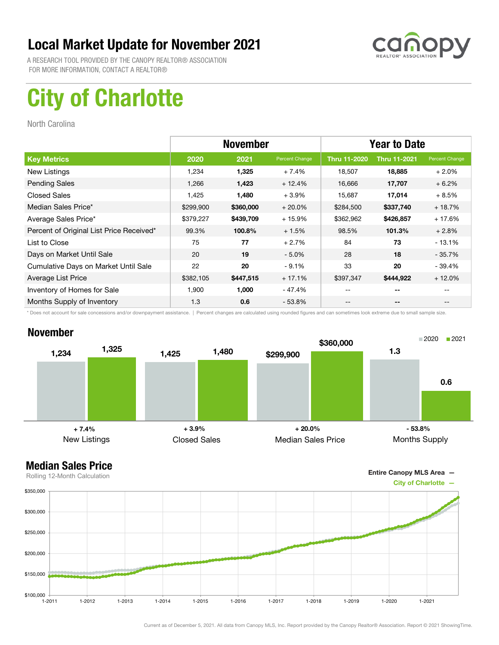

A RESEARCH TOOL PROVIDED BY THE CANOPY REALTOR® ASSOCIATION FOR MORE INFORMATION, CONTACT A REALTOR®

# City of Charlotte

North Carolina

|                                          | <b>November</b> |           |                | <b>Year to Date</b> |                     |                |
|------------------------------------------|-----------------|-----------|----------------|---------------------|---------------------|----------------|
| <b>Key Metrics</b>                       | 2020            | 2021      | Percent Change | <b>Thru 11-2020</b> | <b>Thru 11-2021</b> | Percent Change |
| New Listings                             | 1,234           | 1,325     | $+7.4%$        | 18,507              | 18,885              | $+2.0\%$       |
| <b>Pending Sales</b>                     | 1,266           | 1,423     | $+12.4%$       | 16,666              | 17,707              | $+6.2%$        |
| <b>Closed Sales</b>                      | 1,425           | 1,480     | $+3.9%$        | 15,687              | 17,014              | $+8.5%$        |
| Median Sales Price*                      | \$299,900       | \$360,000 | $+20.0\%$      | \$284,500           | \$337,740           | $+18.7%$       |
| Average Sales Price*                     | \$379,227       | \$439,709 | $+15.9%$       | \$362,962           | \$426,857           | $+17.6%$       |
| Percent of Original List Price Received* | 99.3%           | 100.8%    | $+1.5%$        | 98.5%               | 101.3%              | $+2.8%$        |
| List to Close                            | 75              | 77        | $+2.7%$        | 84                  | 73                  | $-13.1%$       |
| Days on Market Until Sale                | 20              | 19        | $-5.0%$        | 28                  | 18                  | $-35.7%$       |
| Cumulative Days on Market Until Sale     | 22              | 20        | $-9.1%$        | 33                  | 20                  | $-39.4%$       |
| Average List Price                       | \$382,105       | \$447,515 | $+17.1%$       | \$397,347           | \$444,922           | $+12.0%$       |
| Inventory of Homes for Sale              | 1,900           | 1,000     | - 47.4%        |                     | --                  |                |
| Months Supply of Inventory               | 1.3             | 0.6       | $-53.8%$       | --                  | --                  |                |

\* Does not account for sale concessions and/or downpayment assistance. | Percent changes are calculated using rounded figures and can sometimes look extreme due to small sample size.

### November





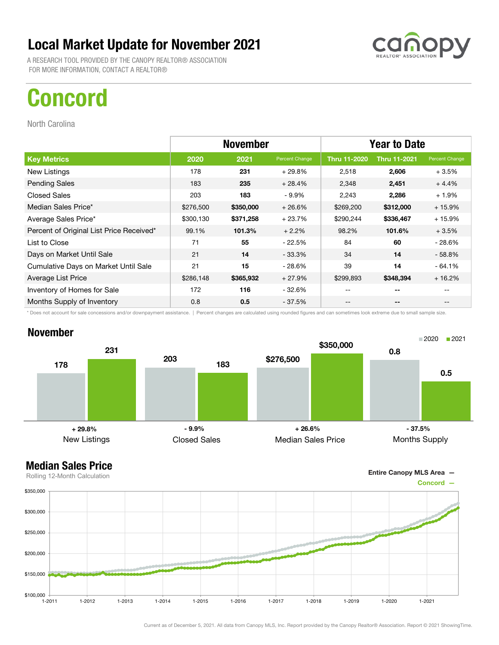A RESEARCH TOOL PROVIDED BY THE CANOPY REALTOR® ASSOCIATION FOR MORE INFORMATION, CONTACT A REALTOR®

## Concord

North Carolina

|                                          | <b>November</b> |           |                | <b>Year to Date</b> |                     |                |
|------------------------------------------|-----------------|-----------|----------------|---------------------|---------------------|----------------|
| <b>Key Metrics</b>                       | 2020            | 2021      | Percent Change | <b>Thru 11-2020</b> | <b>Thru 11-2021</b> | Percent Change |
| New Listings                             | 178             | 231       | $+29.8%$       | 2,518               | 2,606               | $+3.5%$        |
| <b>Pending Sales</b>                     | 183             | 235       | $+28.4%$       | 2,348               | 2,451               | $+4.4%$        |
| <b>Closed Sales</b>                      | 203             | 183       | $-9.9\%$       | 2,243               | 2,286               | $+1.9%$        |
| Median Sales Price*                      | \$276,500       | \$350,000 | $+26.6%$       | \$269,200           | \$312,000           | $+15.9%$       |
| Average Sales Price*                     | \$300,130       | \$371,258 | $+23.7%$       | \$290,244           | \$336,467           | $+15.9%$       |
| Percent of Original List Price Received* | 99.1%           | 101.3%    | $+2.2%$        | 98.2%               | 101.6%              | $+3.5%$        |
| List to Close                            | 71              | 55        | $-22.5%$       | 84                  | 60                  | $-28.6%$       |
| Days on Market Until Sale                | 21              | 14        | $-33.3\%$      | 34                  | 14                  | $-58.8%$       |
| Cumulative Days on Market Until Sale     | 21              | 15        | - 28.6%        | 39                  | 14                  | $-64.1%$       |
| Average List Price                       | \$286,148       | \$365,932 | $+27.9%$       | \$299,893           | \$348,394           | $+16.2%$       |
| Inventory of Homes for Sale              | 172             | 116       | - 32.6%        | --                  | --                  |                |
| Months Supply of Inventory               | 0.8             | 0.5       | $-37.5%$       | --                  | --                  | --             |

\* Does not account for sale concessions and/or downpayment assistance. | Percent changes are calculated using rounded figures and can sometimes look extreme due to small sample size.



Entire Canopy MLS Area —

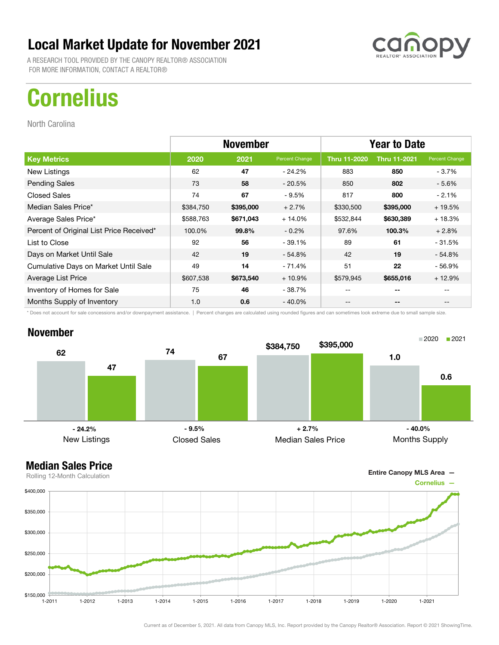A RESEARCH TOOL PROVIDED BY THE CANOPY REALTOR® ASSOCIATION FOR MORE INFORMATION, CONTACT A REALTOR®

# **Cornelius**

North Carolina

|                                          | <b>November</b> |           |                | <b>Year to Date</b> |                          |                                       |
|------------------------------------------|-----------------|-----------|----------------|---------------------|--------------------------|---------------------------------------|
| <b>Key Metrics</b>                       | 2020            | 2021      | Percent Change | Thru 11-2020        | <b>Thru 11-2021</b>      | Percent Change                        |
| New Listings                             | 62              | 47        | $-24.2\%$      | 883                 | 850                      | $-3.7\%$                              |
| <b>Pending Sales</b>                     | 73              | 58        | $-20.5%$       | 850                 | 802                      | $-5.6%$                               |
| Closed Sales                             | 74              | 67        | $-9.5%$        | 817                 | 800                      | $-2.1%$                               |
| Median Sales Price*                      | \$384,750       | \$395,000 | $+2.7%$        | \$330,500           | \$395,000                | $+19.5%$                              |
| Average Sales Price*                     | \$588,763       | \$671,043 | $+14.0%$       | \$532,844           | \$630,389                | $+18.3%$                              |
| Percent of Original List Price Received* | 100.0%          | 99.8%     | $-0.2%$        | 97.6%               | 100.3%                   | $+2.8%$                               |
| List to Close                            | 92              | 56        | $-39.1%$       | 89                  | 61                       | $-31.5%$                              |
| Days on Market Until Sale                | 42              | 19        | $-54.8%$       | 42                  | 19                       | $-54.8%$                              |
| Cumulative Days on Market Until Sale     | 49              | 14        | - 71.4%        | 51                  | 22                       | $-56.9%$                              |
| Average List Price                       | \$607,538       | \$673,540 | $+10.9\%$      | \$579,945           | \$655,016                | $+12.9%$                              |
| Inventory of Homes for Sale              | 75              | 46        | - 38.7%        | --                  | --                       |                                       |
| Months Supply of Inventory               | 1.0             | 0.6       | - 40.0%        | --                  | $\overline{\phantom{a}}$ | $\hspace{0.05cm}$ – $\hspace{0.05cm}$ |

\* Does not account for sale concessions and/or downpayment assistance. | Percent changes are calculated using rounded figures and can sometimes look extreme due to small sample size.

### November





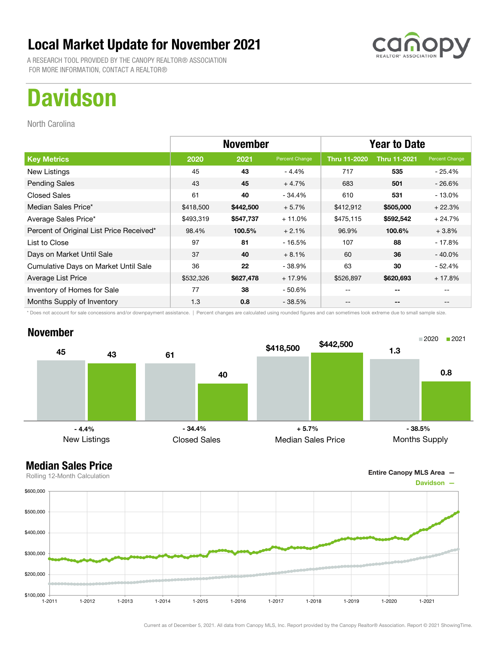A RESEARCH TOOL PROVIDED BY THE CANOPY REALTOR® ASSOCIATION FOR MORE INFORMATION, CONTACT A REALTOR®

# **Davidson**

North Carolina

|                                          | <b>November</b> |           |                | <b>Year to Date</b> |                          |                |
|------------------------------------------|-----------------|-----------|----------------|---------------------|--------------------------|----------------|
| <b>Key Metrics</b>                       | 2020            | 2021      | Percent Change | <b>Thru 11-2020</b> | <b>Thru 11-2021</b>      | Percent Change |
| New Listings                             | 45              | 43        | $-4.4%$        | 717                 | 535                      | $-25.4%$       |
| <b>Pending Sales</b>                     | 43              | 45        | $+4.7%$        | 683                 | 501                      | $-26.6%$       |
| <b>Closed Sales</b>                      | 61              | 40        | - 34.4%        | 610                 | 531                      | $-13.0%$       |
| Median Sales Price*                      | \$418,500       | \$442,500 | $+5.7%$        | \$412,912           | \$505,000                | $+22.3%$       |
| Average Sales Price*                     | \$493,319       | \$547,737 | $+11.0%$       | \$475,115           | \$592,542                | $+24.7%$       |
| Percent of Original List Price Received* | 98.4%           | 100.5%    | $+2.1%$        | 96.9%               | 100.6%                   | $+3.8%$        |
| List to Close                            | 97              | 81        | $-16.5%$       | 107                 | 88                       | $-17.8%$       |
| Days on Market Until Sale                | 37              | 40        | $+8.1%$        | 60                  | 36                       | $-40.0\%$      |
| Cumulative Days on Market Until Sale     | 36              | 22        | $-38.9%$       | 63                  | 30                       | $-52.4%$       |
| Average List Price                       | \$532,326       | \$627,478 | + 17.9%        | \$526,897           | \$620,693                | $+17.8%$       |
| Inventory of Homes for Sale              | 77              | 38        | $-50.6\%$      | $- -$               | --                       |                |
| Months Supply of Inventory               | 1.3             | 0.8       | - 38.5%        | --                  | $\overline{\phantom{a}}$ |                |

\* Does not account for sale concessions and/or downpayment assistance. | Percent changes are calculated using rounded figures and can sometimes look extreme due to small sample size.

### November





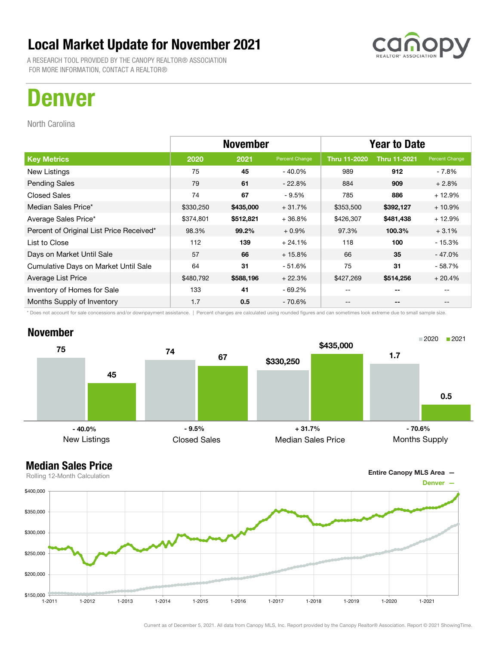A RESEARCH TOOL PROVIDED BY THE CANOPY REALTOR® ASSOCIATION FOR MORE INFORMATION, CONTACT A REALTOR®

## Denver

North Carolina

|                                          | <b>November</b> |           |                | <b>Year to Date</b> |                     |                |
|------------------------------------------|-----------------|-----------|----------------|---------------------|---------------------|----------------|
| <b>Key Metrics</b>                       | 2020            | 2021      | Percent Change | <b>Thru 11-2020</b> | <b>Thru 11-2021</b> | Percent Change |
| New Listings                             | 75              | 45        | - 40.0%        | 989                 | 912                 | - 7.8%         |
| <b>Pending Sales</b>                     | 79              | 61        | $-22.8%$       | 884                 | 909                 | $+2.8%$        |
| <b>Closed Sales</b>                      | 74              | 67        | $-9.5%$        | 785                 | 886                 | $+12.9%$       |
| Median Sales Price*                      | \$330,250       | \$435,000 | $+31.7%$       | \$353,500           | \$392,127           | $+10.9%$       |
| Average Sales Price*                     | \$374,801       | \$512,821 | $+36.8%$       | \$426,307           | \$481,438           | $+12.9%$       |
| Percent of Original List Price Received* | 98.3%           | 99.2%     | $+0.9%$        | 97.3%               | 100.3%              | $+3.1%$        |
| List to Close                            | 112             | 139       | $+24.1%$       | 118                 | 100                 | $-15.3%$       |
| Days on Market Until Sale                | 57              | 66        | $+15.8%$       | 66                  | 35                  | $-47.0%$       |
| Cumulative Days on Market Until Sale     | 64              | 31        | - 51.6%        | 75                  | 31                  | - 58.7%        |
| Average List Price                       | \$480,792       | \$588,196 | $+22.3%$       | \$427,269           | \$514,256           | $+20.4%$       |
| Inventory of Homes for Sale              | 133             | 41        | - 69.2%        |                     | --                  |                |
| Months Supply of Inventory               | 1.7             | 0.5       | $-70.6%$       | --                  | --                  | --             |

\* Does not account for sale concessions and/or downpayment assistance. | Percent changes are calculated using rounded figures and can sometimes look extreme due to small sample size.

#### November





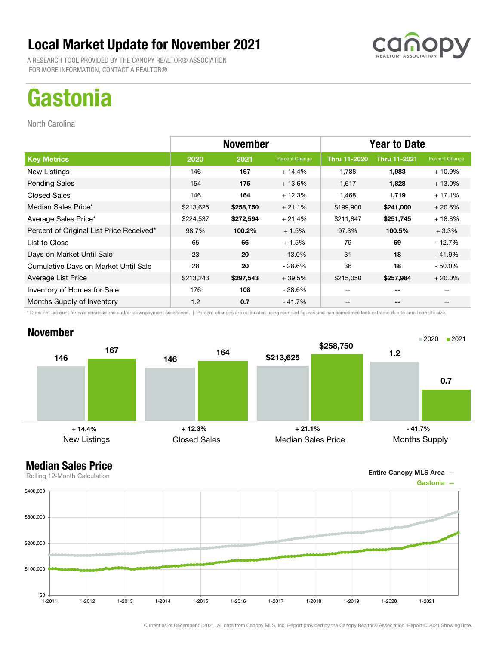A RESEARCH TOOL PROVIDED BY THE CANOPY REALTOR® ASSOCIATION FOR MORE INFORMATION, CONTACT A REALTOR®

# **Gastonia**

North Carolina

|                                          | <b>November</b> |           |                | <b>Year to Date</b> |                     |                |
|------------------------------------------|-----------------|-----------|----------------|---------------------|---------------------|----------------|
| <b>Key Metrics</b>                       | 2020            | 2021      | Percent Change | <b>Thru 11-2020</b> | <b>Thru 11-2021</b> | Percent Change |
| New Listings                             | 146             | 167       | $+14.4%$       | 1,788               | 1,983               | $+10.9%$       |
| <b>Pending Sales</b>                     | 154             | 175       | $+13.6%$       | 1,617               | 1,828               | $+13.0%$       |
| <b>Closed Sales</b>                      | 146             | 164       | $+12.3%$       | 1,468               | 1,719               | $+17.1%$       |
| Median Sales Price*                      | \$213,625       | \$258,750 | $+21.1%$       | \$199,900           | \$241,000           | $+20.6%$       |
| Average Sales Price*                     | \$224,537       | \$272,594 | $+21.4%$       | \$211,847           | \$251,745           | $+18.8%$       |
| Percent of Original List Price Received* | 98.7%           | 100.2%    | $+1.5%$        | 97.3%               | 100.5%              | $+3.3%$        |
| List to Close                            | 65              | 66        | $+1.5%$        | 79                  | 69                  | $-12.7%$       |
| Days on Market Until Sale                | 23              | 20        | $-13.0\%$      | 31                  | 18                  | $-41.9%$       |
| Cumulative Days on Market Until Sale     | 28              | 20        | - 28.6%        | 36                  | 18                  | $-50.0%$       |
| Average List Price                       | \$213,243       | \$297,543 | $+39.5%$       | \$215,050           | \$257,984           | $+20.0%$       |
| Inventory of Homes for Sale              | 176             | 108       | - 38.6%        | --                  | --                  |                |
| Months Supply of Inventory               | 1.2             | 0.7       | - 41.7%        | --                  | --                  |                |

\* Does not account for sale concessions and/or downpayment assistance. | Percent changes are calculated using rounded figures and can sometimes look extreme due to small sample size.

### November



Entire Canopy MLS Area —

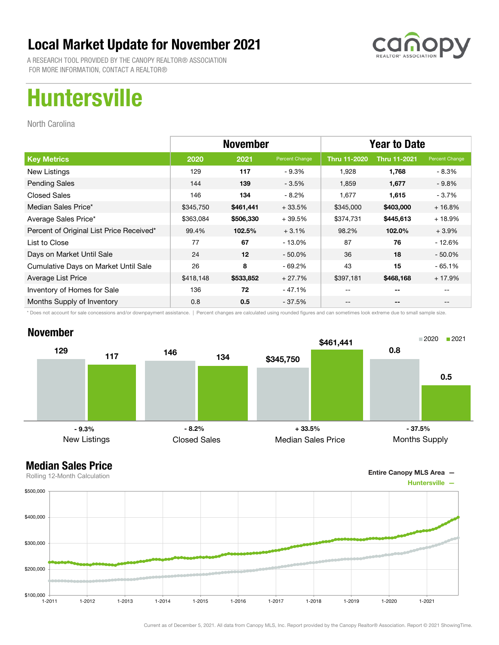

A RESEARCH TOOL PROVIDED BY THE CANOPY REALTOR® ASSOCIATION FOR MORE INFORMATION, CONTACT A REALTOR®

# Huntersville

North Carolina

|                                          | <b>November</b> |           |                | <b>Year to Date</b> |                     |                |
|------------------------------------------|-----------------|-----------|----------------|---------------------|---------------------|----------------|
| <b>Key Metrics</b>                       | 2020            | 2021      | Percent Change | <b>Thru 11-2020</b> | <b>Thru 11-2021</b> | Percent Change |
| New Listings                             | 129             | 117       | $-9.3%$        | 1.928               | 1,768               | - 8.3%         |
| <b>Pending Sales</b>                     | 144             | 139       | $-3.5%$        | 1,859               | 1,677               | $-9.8%$        |
| <b>Closed Sales</b>                      | 146             | 134       | $-8.2\%$       | 1,677               | 1,615               | - 3.7%         |
| Median Sales Price*                      | \$345,750       | \$461,441 | $+33.5%$       | \$345,000           | \$403,000           | $+16.8%$       |
| Average Sales Price*                     | \$363,084       | \$506,330 | $+39.5%$       | \$374,731           | \$445,613           | $+18.9%$       |
| Percent of Original List Price Received* | 99.4%           | 102.5%    | $+3.1%$        | 98.2%               | 102.0%              | $+3.9%$        |
| List to Close                            | 77              | 67        | $-13.0\%$      | 87                  | 76                  | $-12.6%$       |
| Days on Market Until Sale                | 24              | 12        | $-50.0\%$      | 36                  | 18                  | $-50.0\%$      |
| Cumulative Days on Market Until Sale     | 26              | 8         | - 69.2%        | 43                  | 15                  | $-65.1%$       |
| Average List Price                       | \$418,148       | \$533,852 | $+27.7%$       | \$397,181           | \$468,168           | $+17.9%$       |
| Inventory of Homes for Sale              | 136             | 72        | - 47.1%        | --                  | --                  |                |
| Months Supply of Inventory               | 0.8             | 0.5       | $-37.5%$       | --                  | --                  |                |

\* Does not account for sale concessions and/or downpayment assistance. | Percent changes are calculated using rounded figures and can sometimes look extreme due to small sample size.

### November



Entire Canopy MLS Area —

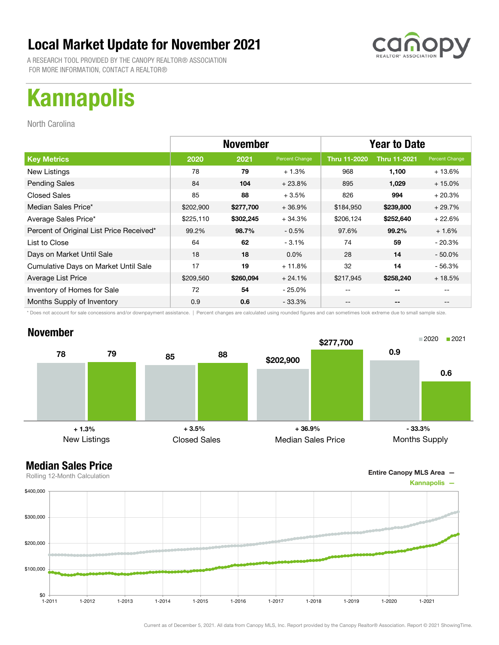A RESEARCH TOOL PROVIDED BY THE CANOPY REALTOR® ASSOCIATION FOR MORE INFORMATION, CONTACT A REALTOR®

# Kannapolis

North Carolina

|                                          | <b>November</b> |           |                | <b>Year to Date</b> |                     |                |
|------------------------------------------|-----------------|-----------|----------------|---------------------|---------------------|----------------|
| <b>Key Metrics</b>                       | 2020            | 2021      | Percent Change | Thru 11-2020        | <b>Thru 11-2021</b> | Percent Change |
| New Listings                             | 78              | 79        | $+1.3%$        | 968                 | 1,100               | $+13.6%$       |
| <b>Pending Sales</b>                     | 84              | 104       | $+23.8%$       | 895                 | 1,029               | $+15.0%$       |
| <b>Closed Sales</b>                      | 85              | 88        | $+3.5%$        | 826                 | 994                 | $+20.3%$       |
| Median Sales Price*                      | \$202,900       | \$277,700 | $+36.9%$       | \$184,950           | \$239,800           | $+29.7%$       |
| Average Sales Price*                     | \$225,110       | \$302,245 | $+34.3%$       | \$206,124           | \$252,640           | $+22.6%$       |
| Percent of Original List Price Received* | 99.2%           | 98.7%     | $-0.5%$        | 97.6%               | 99.2%               | $+1.6%$        |
| List to Close                            | 64              | 62        | $-3.1%$        | 74                  | 59                  | $-20.3%$       |
| Days on Market Until Sale                | 18              | 18        | $0.0\%$        | 28                  | 14                  | $-50.0\%$      |
| Cumulative Days on Market Until Sale     | 17              | 19        | $+11.8%$       | 32                  | 14                  | - 56.3%        |
| Average List Price                       | \$209,560       | \$260,094 | $+24.1%$       | \$217,945           | \$258,240           | $+18.5%$       |
| Inventory of Homes for Sale              | 72              | 54        | $-25.0\%$      |                     | --                  |                |
| Months Supply of Inventory               | 0.9             | 0.6       | $-33.3%$       | --                  | --                  | $- -$          |

\* Does not account for sale concessions and/or downpayment assistance. | Percent changes are calculated using rounded figures and can sometimes look extreme due to small sample size.

### November



Entire Canopy MLS Area —

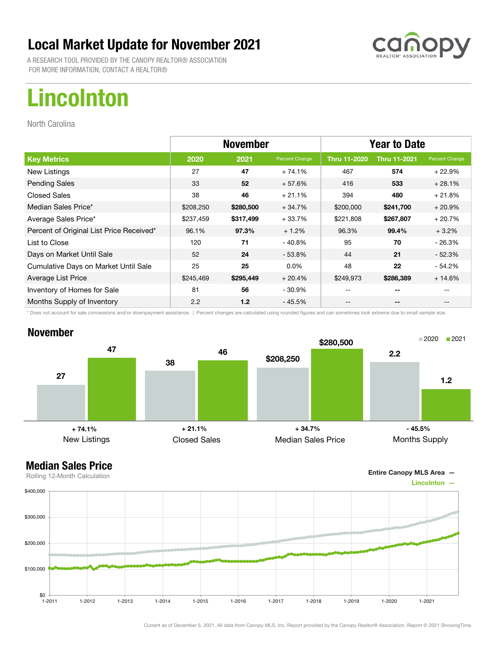A RESEARCH TOOL PROVIDED BY THE CANOPY REALTOR® ASSOCIATION FOR MORE INFORMATION, CONTACT A REALTOR®

# Lincolnton

North Carolina

|                                          | <b>November</b> |                  |                | <b>Year to Date</b> |                     |                |
|------------------------------------------|-----------------|------------------|----------------|---------------------|---------------------|----------------|
| <b>Key Metrics</b>                       | 2020            | 2021             | Percent Change | <b>Thru 11-2020</b> | <b>Thru 11-2021</b> | Percent Change |
| New Listings                             | 27              | 47               | $+74.1%$       | 467                 | 574                 | $+22.9%$       |
| <b>Pending Sales</b>                     | 33              | 52               | $+57.6%$       | 416                 | 533                 | $+28.1%$       |
| <b>Closed Sales</b>                      | 38              | 46               | $+21.1%$       | 394                 | 480                 | $+21.8%$       |
| Median Sales Price*                      | \$208,250       | \$280,500        | $+34.7%$       | \$200,000           | \$241,700           | $+20.9%$       |
| Average Sales Price*                     | \$237,459       | \$317,499        | $+33.7%$       | \$221,808           | \$267,807           | $+20.7%$       |
| Percent of Original List Price Received* | 96.1%           | 97.3%            | $+1.2%$        | 96.3%               | 99.4%               | $+3.2%$        |
| List to Close                            | 120             | 71               | $-40.8%$       | 95                  | 70                  | $-26.3%$       |
| Days on Market Until Sale                | 52              | 24               | $-53.8\%$      | 44                  | 21                  | $-52.3%$       |
| Cumulative Days on Market Until Sale     | 25              | 25               | $0.0\%$        | 48                  | 22                  | - 54.2%        |
| Average List Price                       | \$245,469       | \$295,449        | $+20.4%$       | \$249,973           | \$286,389           | $+14.6%$       |
| Inventory of Homes for Sale              | 81              | 56               | $-30.9\%$      |                     | --                  |                |
| Months Supply of Inventory               | 2.2             | 1.2 <sub>2</sub> | - 45.5%        | --                  | --                  | $- -$          |

\* Does not account for sale concessions and/or downpayment assistance. | Percent changes are calculated using rounded figures and can sometimes look extreme due to small sample size.

### November



Entire Canopy MLS Area —

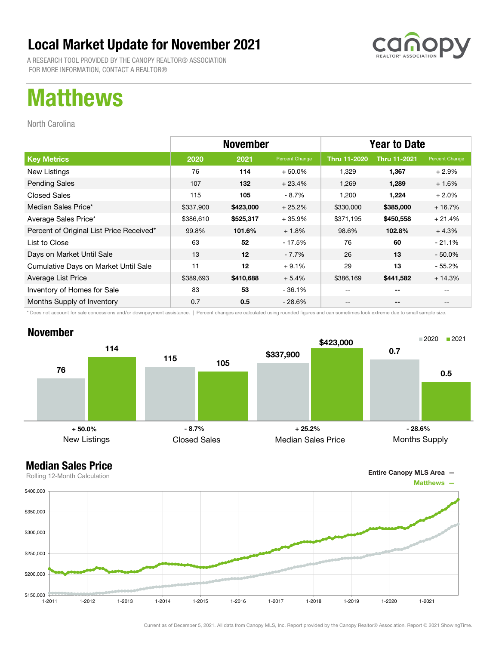A RESEARCH TOOL PROVIDED BY THE CANOPY REALTOR® ASSOCIATION FOR MORE INFORMATION, CONTACT A REALTOR®

## Matthews

North Carolina

|                                          | <b>November</b> |           |                | <b>Year to Date</b> |                     |                |
|------------------------------------------|-----------------|-----------|----------------|---------------------|---------------------|----------------|
| <b>Key Metrics</b>                       | 2020            | 2021      | Percent Change | <b>Thru 11-2020</b> | <b>Thru 11-2021</b> | Percent Change |
| New Listings                             | 76              | 114       | $+50.0\%$      | 1,329               | 1,367               | $+2.9%$        |
| <b>Pending Sales</b>                     | 107             | 132       | $+23.4%$       | 1,269               | 1,289               | $+1.6%$        |
| <b>Closed Sales</b>                      | 115             | 105       | - 8.7%         | 1,200               | 1,224               | $+2.0%$        |
| Median Sales Price*                      | \$337,900       | \$423,000 | $+25.2%$       | \$330,000           | \$385,000           | $+16.7%$       |
| Average Sales Price*                     | \$386,610       | \$525,317 | $+35.9%$       | \$371,195           | \$450,558           | $+21.4%$       |
| Percent of Original List Price Received* | 99.8%           | 101.6%    | $+1.8%$        | 98.6%               | 102.8%              | $+4.3%$        |
| List to Close                            | 63              | 52        | - 17.5%        | 76                  | 60                  | $-21.1%$       |
| Days on Market Until Sale                | 13              | 12        | $-7.7\%$       | 26                  | 13                  | $-50.0\%$      |
| Cumulative Days on Market Until Sale     | 11              | 12        | $+9.1%$        | 29                  | 13                  | - 55.2%        |
| Average List Price                       | \$389,693       | \$410,688 | $+5.4%$        | \$386,169           | \$441,582           | $+14.3%$       |
| Inventory of Homes for Sale              | 83              | 53        | $-36.1%$       |                     | --                  |                |
| Months Supply of Inventory               | 0.7             | 0.5       | $-28.6\%$      | --                  | --                  | $- -$          |

\* Does not account for sale concessions and/or downpayment assistance. | Percent changes are calculated using rounded figures and can sometimes look extreme due to small sample size.





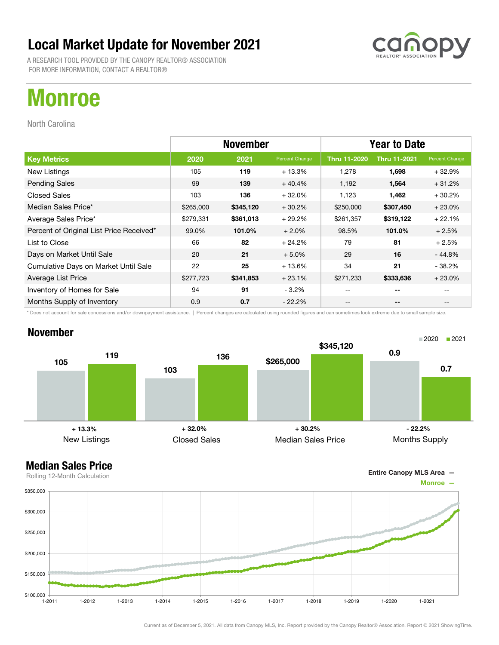A RESEARCH TOOL PROVIDED BY THE CANOPY REALTOR® ASSOCIATION FOR MORE INFORMATION, CONTACT A REALTOR®

# Monroe

North Carolina

|                                          | <b>November</b> |           |                | <b>Year to Date</b> |                     |                |
|------------------------------------------|-----------------|-----------|----------------|---------------------|---------------------|----------------|
| <b>Key Metrics</b>                       | 2020            | 2021      | Percent Change | Thru 11-2020        | <b>Thru 11-2021</b> | Percent Change |
| New Listings                             | 105             | 119       | $+13.3%$       | 1,278               | 1,698               | $+32.9%$       |
| <b>Pending Sales</b>                     | 99              | 139       | $+40.4%$       | 1,192               | 1,564               | $+31.2%$       |
| <b>Closed Sales</b>                      | 103             | 136       | $+32.0%$       | 1,123               | 1,462               | $+30.2%$       |
| Median Sales Price*                      | \$265,000       | \$345,120 | $+30.2%$       | \$250,000           | \$307,450           | $+23.0%$       |
| Average Sales Price*                     | \$279,331       | \$361,013 | $+29.2%$       | \$261,357           | \$319,122           | $+22.1%$       |
| Percent of Original List Price Received* | 99.0%           | 101.0%    | $+2.0%$        | 98.5%               | 101.0%              | $+2.5%$        |
| List to Close                            | 66              | 82        | $+24.2%$       | 79                  | 81                  | $+2.5%$        |
| Days on Market Until Sale                | 20              | 21        | $+5.0%$        | 29                  | 16                  | - 44.8%        |
| Cumulative Days on Market Until Sale     | 22              | 25        | $+13.6%$       | 34                  | 21                  | $-38.2%$       |
| Average List Price                       | \$277,723       | \$341,853 | $+23.1%$       | \$271,233           | \$333,636           | $+23.0%$       |
| Inventory of Homes for Sale              | 94              | 91        | $-3.2%$        |                     | --                  |                |
| Months Supply of Inventory               | 0.9             | 0.7       | $-22.2\%$      | --                  | --                  | $- -$          |

\* Does not account for sale concessions and/or downpayment assistance. | Percent changes are calculated using rounded figures and can sometimes look extreme due to small sample size.

### November



Entire Canopy MLS Area —

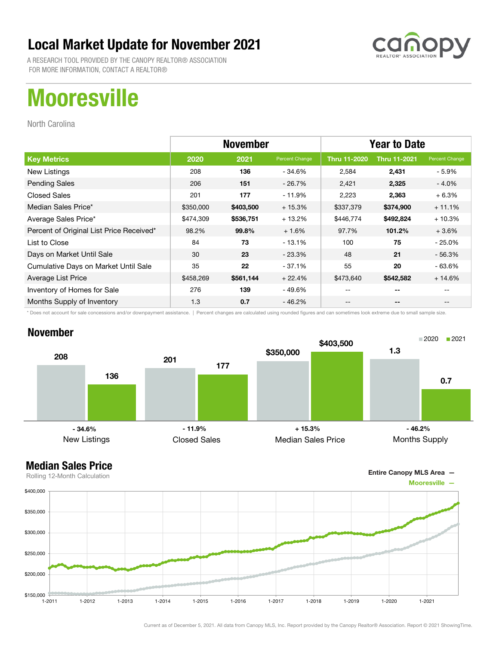A RESEARCH TOOL PROVIDED BY THE CANOPY REALTOR® ASSOCIATION FOR MORE INFORMATION, CONTACT A REALTOR®

# **Mooresville**

North Carolina

|                                          | <b>November</b> |           |                | <b>Year to Date</b> |                     |                |
|------------------------------------------|-----------------|-----------|----------------|---------------------|---------------------|----------------|
| <b>Key Metrics</b>                       | 2020            | 2021      | Percent Change | <b>Thru 11-2020</b> | <b>Thru 11-2021</b> | Percent Change |
| New Listings                             | 208             | 136       | - 34.6%        | 2,584               | 2,431               | - 5.9%         |
| <b>Pending Sales</b>                     | 206             | 151       | $-26.7\%$      | 2,421               | 2,325               | $-4.0\%$       |
| <b>Closed Sales</b>                      | 201             | 177       | - 11.9%        | 2,223               | 2,363               | $+6.3%$        |
| Median Sales Price*                      | \$350,000       | \$403,500 | $+15.3%$       | \$337,379           | \$374,900           | $+11.1%$       |
| Average Sales Price*                     | \$474,309       | \$536,751 | $+13.2%$       | \$446,774           | \$492,824           | $+10.3%$       |
| Percent of Original List Price Received* | 98.2%           | 99.8%     | $+1.6%$        | 97.7%               | 101.2%              | $+3.6%$        |
| List to Close                            | 84              | 73        | $-13.1%$       | 100                 | 75                  | $-25.0\%$      |
| Days on Market Until Sale                | 30              | 23        | $-23.3\%$      | 48                  | 21                  | $-56.3%$       |
| Cumulative Days on Market Until Sale     | 35              | 22        | $-37.1%$       | 55                  | 20                  | $-63.6%$       |
| Average List Price                       | \$458,269       | \$561,144 | $+22.4%$       | \$473,640           | \$542,582           | $+14.6%$       |
| Inventory of Homes for Sale              | 276             | 139       | - 49.6%        |                     | --                  |                |
| Months Supply of Inventory               | 1.3             | 0.7       | - 46.2%        | --                  | --                  | $- -$          |

\* Does not account for sale concessions and/or downpayment assistance. | Percent changes are calculated using rounded figures and can sometimes look extreme due to small sample size.

### November



Entire Canopy MLS Area —

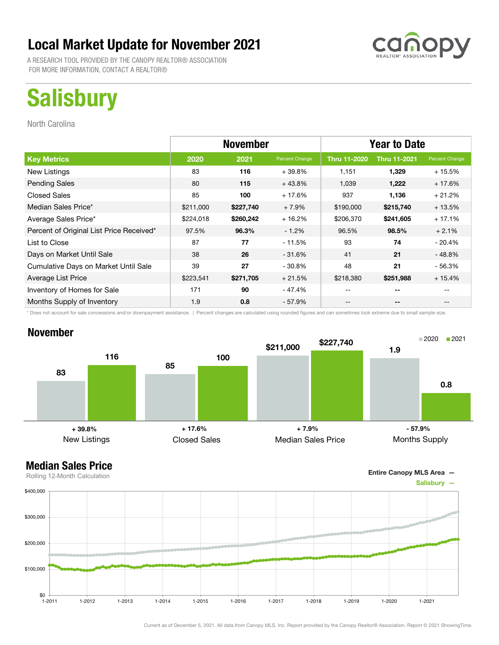A RESEARCH TOOL PROVIDED BY THE CANOPY REALTOR® ASSOCIATION FOR MORE INFORMATION, CONTACT A REALTOR®

# **Salisbury**

North Carolina

|                                          | <b>November</b> |           |                | <b>Year to Date</b> |                          |                |
|------------------------------------------|-----------------|-----------|----------------|---------------------|--------------------------|----------------|
| <b>Key Metrics</b>                       | 2020            | 2021      | Percent Change | <b>Thru 11-2020</b> | <b>Thru 11-2021</b>      | Percent Change |
| New Listings                             | 83              | 116       | $+39.8%$       | 1,151               | 1,329                    | $+15.5%$       |
| <b>Pending Sales</b>                     | 80              | 115       | $+43.8%$       | 1,039               | 1,222                    | $+17.6%$       |
| <b>Closed Sales</b>                      | 85              | 100       | $+17.6%$       | 937                 | 1,136                    | $+21.2%$       |
| Median Sales Price*                      | \$211,000       | \$227,740 | $+7.9%$        | \$190,000           | \$215,740                | $+13.5%$       |
| Average Sales Price*                     | \$224,018       | \$260,242 | $+16.2%$       | \$206,370           | \$241,605                | $+17.1%$       |
| Percent of Original List Price Received* | 97.5%           | 96.3%     | $-1.2%$        | 96.5%               | 98.5%                    | $+2.1%$        |
| List to Close                            | 87              | 77        | $-11.5%$       | 93                  | 74                       | $-20.4%$       |
| Days on Market Until Sale                | 38              | 26        | $-31.6%$       | 41                  | 21                       | $-48.8%$       |
| Cumulative Days on Market Until Sale     | 39              | 27        | $-30.8%$       | 48                  | 21                       | $-56.3%$       |
| Average List Price                       | \$223,541       | \$271,705 | $+21.5%$       | \$218,380           | \$251,988                | $+15.4%$       |
| Inventory of Homes for Sale              | 171             | 90        | - 47.4%        | --                  | --                       |                |
| Months Supply of Inventory               | 1.9             | 0.8       | $-57.9%$       | --                  | $\overline{\phantom{a}}$ |                |

\* Does not account for sale concessions and/or downpayment assistance. | Percent changes are calculated using rounded figures and can sometimes look extreme due to small sample size.

### November



Entire Canopy MLS Area —

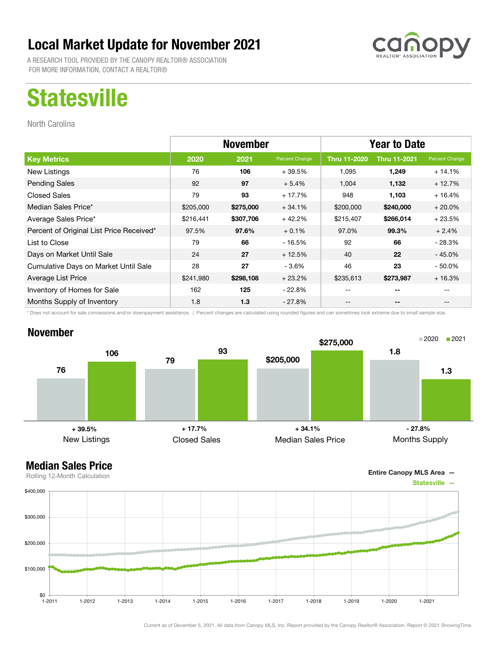A RESEARCH TOOL PROVIDED BY THE CANOPY REALTOR® ASSOCIATION FOR MORE INFORMATION, CONTACT A REALTOR®

## **Statesville**

North Carolina

|                                          | <b>November</b> |           |                | <b>Year to Date</b> |                          |                |
|------------------------------------------|-----------------|-----------|----------------|---------------------|--------------------------|----------------|
| <b>Key Metrics</b>                       | 2020            | 2021      | Percent Change | <b>Thru 11-2020</b> | <b>Thru 11-2021</b>      | Percent Change |
| New Listings                             | 76              | 106       | $+39.5%$       | 1,095               | 1,249                    | $+14.1%$       |
| <b>Pending Sales</b>                     | 92              | 97        | $+5.4%$        | 1,004               | 1,132                    | $+12.7%$       |
| <b>Closed Sales</b>                      | 79              | 93        | $+17.7%$       | 948                 | 1,103                    | $+16.4%$       |
| Median Sales Price*                      | \$205,000       | \$275,000 | $+34.1%$       | \$200,000           | \$240,000                | $+20.0\%$      |
| Average Sales Price*                     | \$216,441       | \$307,706 | $+42.2%$       | \$215,407           | \$266,014                | $+23.5%$       |
| Percent of Original List Price Received* | 97.5%           | 97.6%     | $+0.1%$        | 97.0%               | 99.3%                    | $+2.4%$        |
| List to Close                            | 79              | 66        | $-16.5%$       | 92                  | 66                       | $-28.3%$       |
| Days on Market Until Sale                | 24              | 27        | $+12.5%$       | 40                  | 22                       | $-45.0%$       |
| Cumulative Days on Market Until Sale     | 28              | 27        | $-3.6%$        | 46                  | 23                       | $-50.0%$       |
| Average List Price                       | \$241,980       | \$298,108 | $+23.2%$       | \$235,613           | \$273,987                | $+16.3%$       |
| Inventory of Homes for Sale              | 162             | 125       | $-22.8\%$      | $- -$               | $- -$                    |                |
| Months Supply of Inventory               | 1.8             | 1.3       | $-27.8%$       | --                  | $\overline{\phantom{a}}$ |                |

\* Does not account for sale concessions and/or downpayment assistance. | Percent changes are calculated using rounded figures and can sometimes look extreme due to small sample size.

### November



Entire Canopy MLS Area —

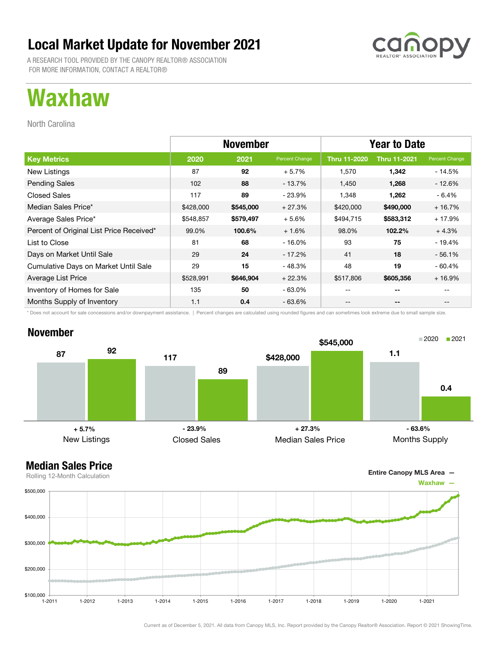A RESEARCH TOOL PROVIDED BY THE CANOPY REALTOR® ASSOCIATION FOR MORE INFORMATION, CONTACT A REALTOR®

## Waxhaw

North Carolina

|                                          | <b>November</b> |           |                | <b>Year to Date</b> |                     |                |
|------------------------------------------|-----------------|-----------|----------------|---------------------|---------------------|----------------|
| <b>Key Metrics</b>                       | 2020            | 2021      | Percent Change | Thru 11-2020        | <b>Thru 11-2021</b> | Percent Change |
| New Listings                             | 87              | 92        | $+5.7%$        | 1,570               | 1,342               | - 14.5%        |
| <b>Pending Sales</b>                     | 102             | 88        | $-13.7%$       | 1,450               | 1,268               | - 12.6%        |
| <b>Closed Sales</b>                      | 117             | 89        | $-23.9%$       | 1,348               | 1,262               | - 6.4%         |
| Median Sales Price*                      | \$428,000       | \$545,000 | $+27.3%$       | \$420,000           | \$490,000           | $+16.7%$       |
| Average Sales Price*                     | \$548,857       | \$579,497 | $+5.6%$        | \$494,715           | \$583,312           | $+17.9%$       |
| Percent of Original List Price Received* | 99.0%           | 100.6%    | $+1.6%$        | 98.0%               | 102.2%              | $+4.3%$        |
| List to Close                            | 81              | 68        | $-16.0%$       | 93                  | 75                  | $-19.4%$       |
| Days on Market Until Sale                | 29              | 24        | - 17.2%        | 41                  | 18                  | $-56.1%$       |
| Cumulative Days on Market Until Sale     | 29              | 15        | - 48.3%        | 48                  | 19                  | $-60.4%$       |
| Average List Price                       | \$528,991       | \$646,904 | $+22.3%$       | \$517,806           | \$605,356           | $+16.9%$       |
| Inventory of Homes for Sale              | 135             | 50        | $-63.0\%$      | --                  | $-$                 |                |
| Months Supply of Inventory               | 1.1             | 0.4       | $-63.6%$       | --                  | --                  | --             |

\* Does not account for sale concessions and/or downpayment assistance. | Percent changes are calculated using rounded figures and can sometimes look extreme due to small sample size.

### November





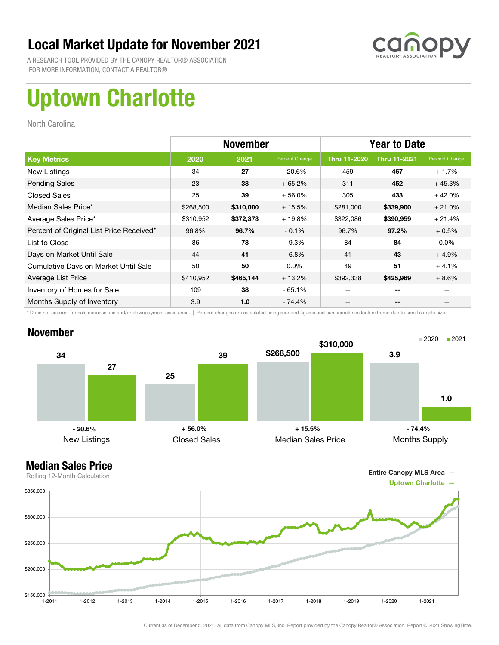

A RESEARCH TOOL PROVIDED BY THE CANOPY REALTOR® ASSOCIATION FOR MORE INFORMATION, CONTACT A REALTOR®

# Uptown Charlotte

North Carolina

|                                          | <b>November</b> |           |                | <b>Year to Date</b> |                     |                |
|------------------------------------------|-----------------|-----------|----------------|---------------------|---------------------|----------------|
| <b>Key Metrics</b>                       | 2020            | 2021      | Percent Change | <b>Thru 11-2020</b> | <b>Thru 11-2021</b> | Percent Change |
| New Listings                             | 34              | 27        | - 20.6%        | 459                 | 467                 | $+1.7%$        |
| <b>Pending Sales</b>                     | 23              | 38        | $+65.2%$       | 311                 | 452                 | $+45.3%$       |
| <b>Closed Sales</b>                      | 25              | 39        | $+56.0%$       | 305                 | 433                 | $+42.0%$       |
| Median Sales Price*                      | \$268,500       | \$310,000 | $+15.5%$       | \$281,000           | \$339,900           | $+21.0%$       |
| Average Sales Price*                     | \$310,952       | \$372,373 | $+19.8%$       | \$322,086           | \$390,959           | $+21.4%$       |
| Percent of Original List Price Received* | 96.8%           | 96.7%     | $-0.1%$        | 96.7%               | 97.2%               | $+0.5%$        |
| List to Close                            | 86              | 78        | $-9.3%$        | 84                  | 84                  | $0.0\%$        |
| Days on Market Until Sale                | 44              | 41        | $-6.8\%$       | 41                  | 43                  | $+4.9%$        |
| Cumulative Days on Market Until Sale     | 50              | 50        | $0.0\%$        | 49                  | 51                  | $+4.1%$        |
| Average List Price                       | \$410,952       | \$465,144 | $+13.2%$       | \$392,338           | \$425,969           | $+8.6%$        |
| Inventory of Homes for Sale              | 109             | 38        | $-65.1%$       |                     | --                  |                |
| Months Supply of Inventory               | 3.9             | 1.0       | - 74.4%        | --                  | --                  |                |

\* Does not account for sale concessions and/or downpayment assistance. | Percent changes are calculated using rounded figures and can sometimes look extreme due to small sample size.

### November



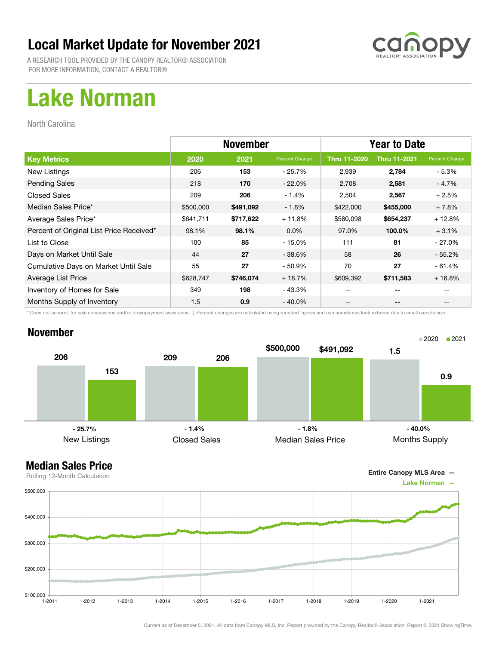

A RESEARCH TOOL PROVIDED BY THE CANOPY REALTOR® ASSOCIATION FOR MORE INFORMATION, CONTACT A REALTOR®

## Lake Norman

North Carolina

|                                          | <b>November</b> |           |                | <b>Year to Date</b> |                     |                |
|------------------------------------------|-----------------|-----------|----------------|---------------------|---------------------|----------------|
| <b>Key Metrics</b>                       | 2020            | 2021      | Percent Change | <b>Thru 11-2020</b> | <b>Thru 11-2021</b> | Percent Change |
| New Listings                             | 206             | 153       | - 25.7%        | 2,939               | 2,784               | - 5.3%         |
| <b>Pending Sales</b>                     | 218             | 170       | $-22.0%$       | 2,708               | 2,581               | $-4.7%$        |
| <b>Closed Sales</b>                      | 209             | 206       | $-1.4%$        | 2,504               | 2,567               | $+2.5%$        |
| Median Sales Price*                      | \$500,000       | \$491,092 | $-1.8%$        | \$422,000           | \$455,000           | $+7.8%$        |
| Average Sales Price*                     | \$641,711       | \$717,622 | $+11.8%$       | \$580,098           | \$654,237           | $+12.8%$       |
| Percent of Original List Price Received* | 98.1%           | 98.1%     | $0.0\%$        | 97.0%               | 100.0%              | $+3.1%$        |
| List to Close                            | 100             | 85        | $-15.0%$       | 111                 | 81                  | $-27.0\%$      |
| Days on Market Until Sale                | 44              | 27        | $-38.6%$       | 58                  | 26                  | $-55.2\%$      |
| Cumulative Days on Market Until Sale     | 55              | 27        | $-50.9%$       | 70                  | 27                  | $-61.4%$       |
| Average List Price                       | \$628,747       | \$746,074 | $+18.7%$       | \$609,392           | \$711,583           | $+16.8%$       |
| Inventory of Homes for Sale              | 349             | 198       | - 43.3%        | --                  | --                  |                |
| Months Supply of Inventory               | 1.5             | 0.9       | $-40.0\%$      | --                  | --                  |                |

\* Does not account for sale concessions and/or downpayment assistance. | Percent changes are calculated using rounded figures and can sometimes look extreme due to small sample size.

### November



Entire Canopy MLS Area —

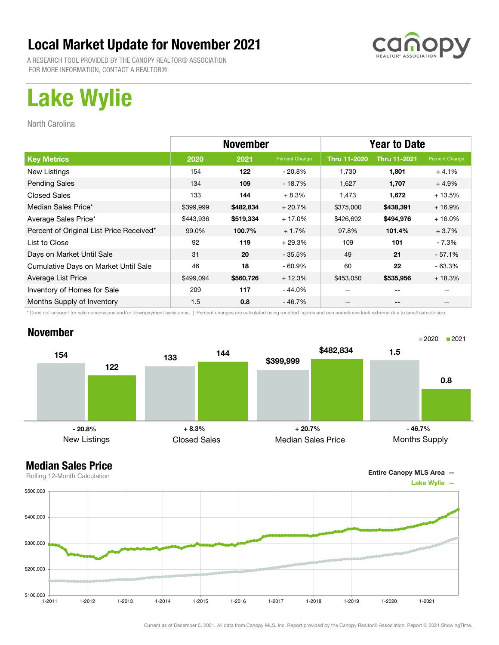A RESEARCH TOOL PROVIDED BY THE CANOPY REALTOR® ASSOCIATION FOR MORE INFORMATION, CONTACT A REALTOR®

# Lake Wylie

North Carolina

|                                          | <b>November</b> |           |                | <b>Year to Date</b> |                     |                |
|------------------------------------------|-----------------|-----------|----------------|---------------------|---------------------|----------------|
| <b>Key Metrics</b>                       | 2020            | 2021      | Percent Change | <b>Thru 11-2020</b> | <b>Thru 11-2021</b> | Percent Change |
| New Listings                             | 154             | 122       | - 20.8%        | 1.730               | 1,801               | $+4.1%$        |
| <b>Pending Sales</b>                     | 134             | 109       | $-18.7%$       | 1.627               | 1,707               | $+4.9%$        |
| <b>Closed Sales</b>                      | 133             | 144       | $+8.3%$        | 1,473               | 1,672               | $+13.5%$       |
| Median Sales Price*                      | \$399,999       | \$482,834 | $+20.7%$       | \$375,000           | \$438,391           | $+16.9%$       |
| Average Sales Price*                     | \$443,936       | \$519,334 | $+17.0%$       | \$426,692           | \$494,976           | $+16.0%$       |
| Percent of Original List Price Received* | 99.0%           | 100.7%    | $+1.7%$        | 97.8%               | 101.4%              | $+3.7%$        |
| List to Close                            | 92              | 119       | $+29.3%$       | 109                 | 101                 | - 7.3%         |
| Days on Market Until Sale                | 31              | 20        | $-35.5%$       | 49                  | 21                  | $-57.1%$       |
| Cumulative Days on Market Until Sale     | 46              | 18        | $-60.9%$       | 60                  | 22                  | - 63.3%        |
| Average List Price                       | \$499,094       | \$560,726 | $+12.3%$       | \$453,050           | \$535,956           | $+18.3%$       |
| Inventory of Homes for Sale              | 209             | 117       | - 44.0%        | --                  | --                  |                |
| Months Supply of Inventory               | 1.5             | 0.8       | - 46.7%        | --                  | --                  |                |

\* Does not account for sale concessions and/or downpayment assistance. | Percent changes are calculated using rounded figures and can sometimes look extreme due to small sample size.

### November





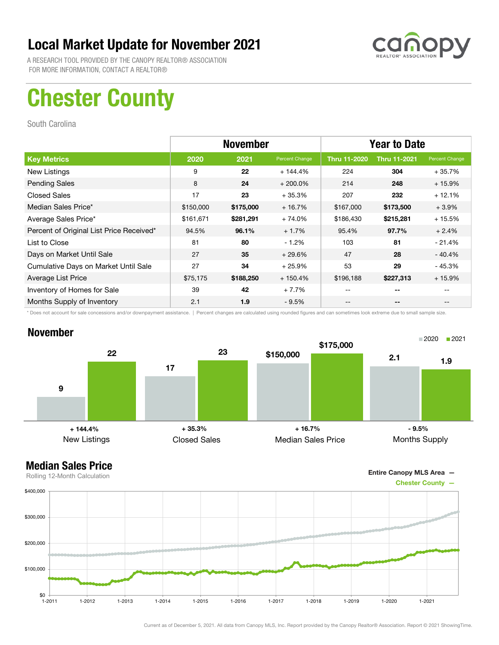

A RESEARCH TOOL PROVIDED BY THE CANOPY REALTOR® ASSOCIATION FOR MORE INFORMATION, CONTACT A REALTOR®

# Chester County

South Carolina

|                                          | <b>November</b> |           |                | <b>Year to Date</b> |                     |                |
|------------------------------------------|-----------------|-----------|----------------|---------------------|---------------------|----------------|
| <b>Key Metrics</b>                       | 2020            | 2021      | Percent Change | <b>Thru 11-2020</b> | <b>Thru 11-2021</b> | Percent Change |
| New Listings                             | 9               | 22        | $+144.4%$      | 224                 | 304                 | $+35.7%$       |
| <b>Pending Sales</b>                     | 8               | 24        | $+200.0\%$     | 214                 | 248                 | $+15.9%$       |
| <b>Closed Sales</b>                      | 17              | 23        | $+35.3%$       | 207                 | 232                 | $+12.1%$       |
| Median Sales Price*                      | \$150,000       | \$175,000 | $+16.7%$       | \$167,000           | \$173,500           | $+3.9%$        |
| Average Sales Price*                     | \$161,671       | \$281,291 | $+74.0%$       | \$186,430           | \$215,281           | $+15.5%$       |
| Percent of Original List Price Received* | 94.5%           | 96.1%     | $+1.7%$        | 95.4%               | 97.7%               | $+2.4%$        |
| List to Close                            | 81              | 80        | $-1.2%$        | 103                 | 81                  | $-21.4%$       |
| Days on Market Until Sale                | 27              | 35        | $+29.6%$       | 47                  | 28                  | $-40.4%$       |
| Cumulative Days on Market Until Sale     | 27              | 34        | $+25.9%$       | 53                  | 29                  | $-45.3%$       |
| Average List Price                       | \$75,175        | \$188,250 | $+150.4%$      | \$196,188           | \$227,313           | $+15.9%$       |
| Inventory of Homes for Sale              | 39              | 42        | $+7.7%$        |                     | --                  |                |
| Months Supply of Inventory               | 2.1             | 1.9       | $-9.5%$        | --                  | --                  |                |

\* Does not account for sale concessions and/or downpayment assistance. | Percent changes are calculated using rounded figures and can sometimes look extreme due to small sample size.

### November



Entire Canopy MLS Area —

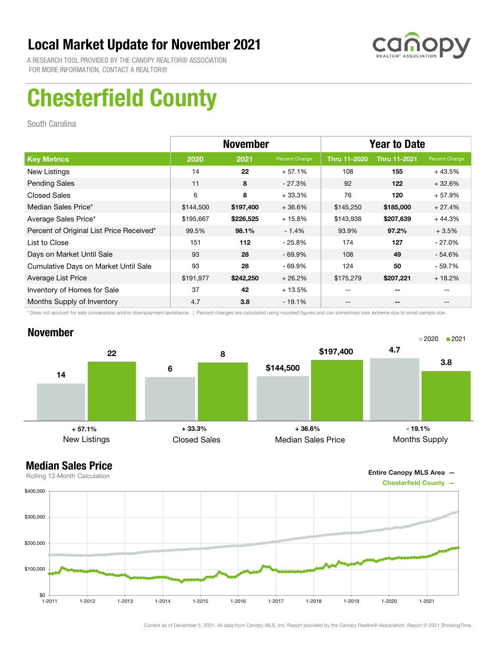

A RESEARCH TOOL PROVIDED BY THE CANOPY REALTOR® ASSOCIATION FOR MORE INFORMATION, CONTACT A REALTOR®

# Chesterfield County

South Carolina

|                                          | <b>November</b> |           |                | <b>Year to Date</b> |                     |                |
|------------------------------------------|-----------------|-----------|----------------|---------------------|---------------------|----------------|
| <b>Key Metrics</b>                       | 2020            | 2021      | Percent Change | <b>Thru 11-2020</b> | <b>Thru 11-2021</b> | Percent Change |
| New Listings                             | 14              | 22        | $+57.1%$       | 108                 | 155                 | $+43.5%$       |
| <b>Pending Sales</b>                     | 11              | 8         | $-27.3%$       | 92                  | 122                 | $+32.6%$       |
| <b>Closed Sales</b>                      | 6               | 8         | $+33.3%$       | 76                  | 120                 | $+57.9%$       |
| Median Sales Price*                      | \$144,500       | \$197,400 | $+36.6%$       | \$145,250           | \$185,000           | $+27.4%$       |
| Average Sales Price*                     | \$195,667       | \$226,525 | $+15.8%$       | \$143,938           | \$207,639           | $+44.3%$       |
| Percent of Original List Price Received* | 99.5%           | 98.1%     | $-1.4%$        | 93.9%               | 97.2%               | $+3.5%$        |
| List to Close                            | 151             | 112       | $-25.8\%$      | 174                 | 127                 | $-27.0\%$      |
| Days on Market Until Sale                | 93              | 28        | $-69.9\%$      | 108                 | 49                  | - 54.6%        |
| Cumulative Days on Market Until Sale     | 93              | 28        | $-69.9\%$      | 124                 | 50                  | - 59.7%        |
| Average List Price                       | \$191,977       | \$242,250 | $+26.2%$       | \$175,279           | \$207,221           | $+18.2%$       |
| Inventory of Homes for Sale              | 37              | 42        | $+13.5%$       | --                  | --                  |                |
| Months Supply of Inventory               | 4.7             | 3.8       | $-19.1%$       | --                  | --                  |                |

\* Does not account for sale concessions and/or downpayment assistance. | Percent changes are calculated using rounded figures and can sometimes look extreme due to small sample size.

### November



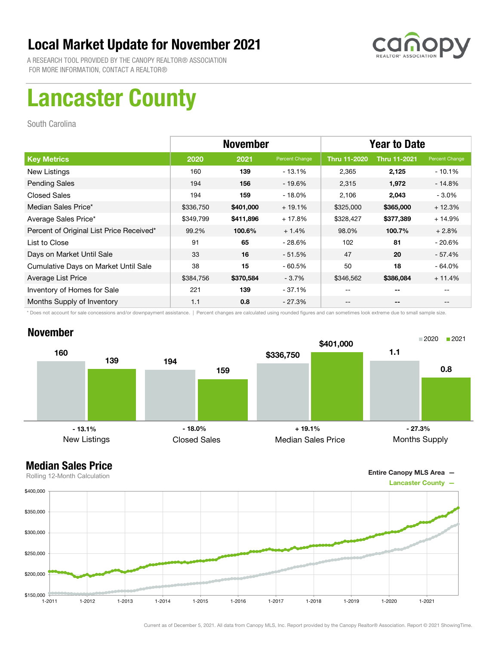

A RESEARCH TOOL PROVIDED BY THE CANOPY REALTOR® ASSOCIATION FOR MORE INFORMATION, CONTACT A REALTOR®

# Lancaster County

South Carolina

|                                          | <b>November</b> |           |                | <b>Year to Date</b> |                     |                |
|------------------------------------------|-----------------|-----------|----------------|---------------------|---------------------|----------------|
| <b>Key Metrics</b>                       | 2020            | 2021      | Percent Change | <b>Thru 11-2020</b> | <b>Thru 11-2021</b> | Percent Change |
| New Listings                             | 160             | 139       | $-13.1%$       | 2,365               | 2,125               | $-10.1%$       |
| <b>Pending Sales</b>                     | 194             | 156       | $-19.6\%$      | 2,315               | 1,972               | $-14.8%$       |
| <b>Closed Sales</b>                      | 194             | 159       | $-18.0%$       | 2,106               | 2,043               | $-3.0%$        |
| Median Sales Price*                      | \$336,750       | \$401,000 | $+19.1%$       | \$325,000           | \$365,000           | $+12.3%$       |
| Average Sales Price*                     | \$349,799       | \$411,896 | $+17.8%$       | \$328,427           | \$377,389           | $+14.9%$       |
| Percent of Original List Price Received* | 99.2%           | 100.6%    | $+1.4%$        | 98.0%               | 100.7%              | $+2.8%$        |
| List to Close                            | 91              | 65        | $-28.6%$       | 102                 | 81                  | $-20.6%$       |
| Days on Market Until Sale                | 33              | 16        | $-51.5%$       | 47                  | 20                  | $-57.4%$       |
| Cumulative Days on Market Until Sale     | 38              | 15        | $-60.5%$       | 50                  | 18                  | $-64.0%$       |
| Average List Price                       | \$384,756       | \$370,584 | $-3.7\%$       | \$346,562           | \$386,084           | $+11.4%$       |
| Inventory of Homes for Sale              | 221             | 139       | - 37.1%        | --                  | --                  |                |
| Months Supply of Inventory               | 1.1             | 0.8       | $-27.3%$       | --                  | --                  |                |

\* Does not account for sale concessions and/or downpayment assistance. | Percent changes are calculated using rounded figures and can sometimes look extreme due to small sample size.

### November



### Median Sales Price



Current as of December 5, 2021. All data from Canopy MLS, Inc. Report provided by the Canopy Realtor® Association. Report © 2021 ShowingTime.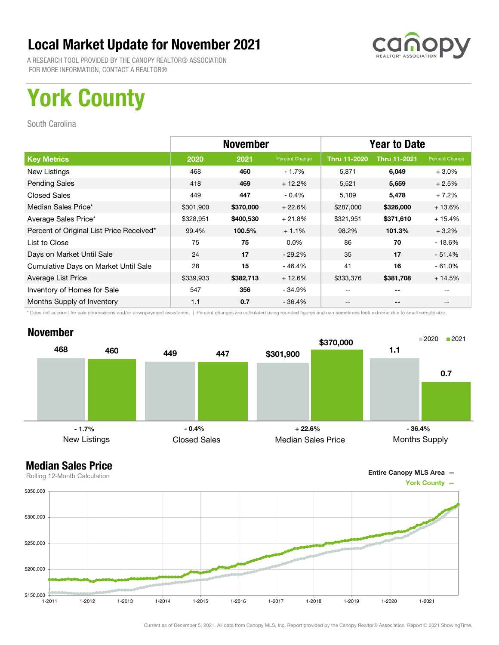

A RESEARCH TOOL PROVIDED BY THE CANOPY REALTOR® ASSOCIATION FOR MORE INFORMATION, CONTACT A REALTOR®

# York County

South Carolina

|                                          | <b>November</b> |           |                | <b>Year to Date</b> |                     |                |
|------------------------------------------|-----------------|-----------|----------------|---------------------|---------------------|----------------|
| <b>Key Metrics</b>                       | 2020            | 2021      | Percent Change | <b>Thru 11-2020</b> | <b>Thru 11-2021</b> | Percent Change |
| New Listings                             | 468             | 460       | $-1.7%$        | 5,871               | 6,049               | $+3.0\%$       |
| <b>Pending Sales</b>                     | 418             | 469       | $+12.2%$       | 5,521               | 5,659               | $+2.5%$        |
| <b>Closed Sales</b>                      | 449             | 447       | $-0.4%$        | 5,109               | 5,478               | $+7.2%$        |
| Median Sales Price*                      | \$301,900       | \$370,000 | $+22.6%$       | \$287,000           | \$326,000           | $+13.6%$       |
| Average Sales Price*                     | \$328,951       | \$400,530 | $+21.8%$       | \$321,951           | \$371,610           | $+15.4%$       |
| Percent of Original List Price Received* | 99.4%           | 100.5%    | $+1.1%$        | 98.2%               | 101.3%              | $+3.2%$        |
| List to Close                            | 75              | 75        | $0.0\%$        | 86                  | 70                  | $-18.6%$       |
| Days on Market Until Sale                | 24              | 17        | $-29.2\%$      | 35                  | 17                  | $-51.4%$       |
| Cumulative Days on Market Until Sale     | 28              | 15        | $-46.4%$       | 41                  | 16                  | $-61.0%$       |
| Average List Price                       | \$339,933       | \$382,713 | $+12.6%$       | \$333,376           | \$381,708           | $+14.5%$       |
| Inventory of Homes for Sale              | 547             | 356       | - 34.9%        |                     | --                  |                |
| Months Supply of Inventory               | 1.1             | 0.7       | $-36.4%$       | --                  | --                  |                |

\* Does not account for sale concessions and/or downpayment assistance. | Percent changes are calculated using rounded figures and can sometimes look extreme due to small sample size.

### November



Entire Canopy MLS Area —

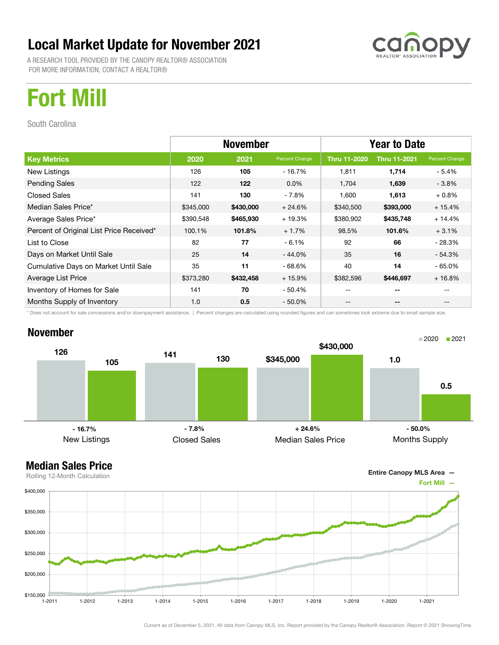A RESEARCH TOOL PROVIDED BY THE CANOPY REALTOR® ASSOCIATION FOR MORE INFORMATION, CONTACT A REALTOR®



## Fort Mill

South Carolina

|                                          | <b>November</b> |           |                | <b>Year to Date</b> |                     |                |
|------------------------------------------|-----------------|-----------|----------------|---------------------|---------------------|----------------|
| <b>Key Metrics</b>                       | 2020            | 2021      | Percent Change | <b>Thru 11-2020</b> | <b>Thru 11-2021</b> | Percent Change |
| New Listings                             | 126             | 105       | - 16.7%        | 1,811               | 1,714               | - 5.4%         |
| <b>Pending Sales</b>                     | 122             | 122       | $0.0\%$        | 1,704               | 1,639               | $-3.8\%$       |
| <b>Closed Sales</b>                      | 141             | 130       | $-7.8%$        | 1,600               | 1,613               | $+0.8\%$       |
| Median Sales Price*                      | \$345,000       | \$430,000 | $+24.6%$       | \$340,500           | \$393,000           | $+15.4%$       |
| Average Sales Price*                     | \$390,548       | \$465,930 | $+19.3%$       | \$380,902           | \$435,748           | + 14.4%        |
| Percent of Original List Price Received* | 100.1%          | 101.8%    | $+1.7%$        | 98.5%               | 101.6%              | $+3.1%$        |
| List to Close                            | 82              | 77        | $-6.1%$        | 92                  | 66                  | - 28.3%        |
| Days on Market Until Sale                | 25              | 14        | $-44.0%$       | 35                  | 16                  | - 54.3%        |
| Cumulative Days on Market Until Sale     | 35              | 11        | $-68.6%$       | 40                  | 14                  | - 65.0%        |
| Average List Price                       | \$373,280       | \$432,458 | $+15.9%$       | \$382,596           | \$446,697           | $+16.8%$       |
| Inventory of Homes for Sale              | 141             | 70        | - 50.4%        | --                  | --                  |                |
| Months Supply of Inventory               | 1.0             | 0.5       | $-50.0\%$      | --                  | --                  | $- -$          |

\* Does not account for sale concessions and/or downpayment assistance. | Percent changes are calculated using rounded figures and can sometimes look extreme due to small sample size.

### November



### Median Sales Price

Entire Canopy MLS Area —

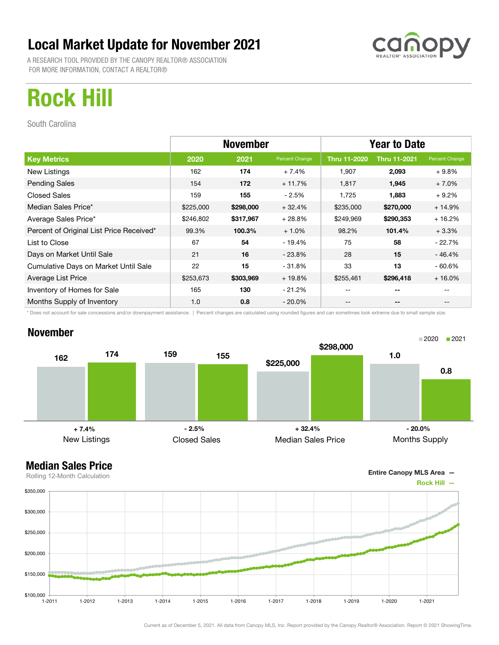A RESEARCH TOOL PROVIDED BY THE CANOPY REALTOR® ASSOCIATION FOR MORE INFORMATION, CONTACT A REALTOR®

# Rock Hill

South Carolina

|                                          | <b>November</b> |           |                | <b>Year to Date</b> |                     |                                       |
|------------------------------------------|-----------------|-----------|----------------|---------------------|---------------------|---------------------------------------|
| <b>Key Metrics</b>                       | 2020            | 2021      | Percent Change | <b>Thru 11-2020</b> | <b>Thru 11-2021</b> | Percent Change                        |
| New Listings                             | 162             | 174       | $+7.4%$        | 1,907               | 2,093               | $+9.8%$                               |
| <b>Pending Sales</b>                     | 154             | 172       | $+11.7%$       | 1,817               | 1,945               | $+7.0%$                               |
| <b>Closed Sales</b>                      | 159             | 155       | - 2.5%         | 1,725               | 1,883               | $+9.2%$                               |
| Median Sales Price*                      | \$225,000       | \$298,000 | $+32.4%$       | \$235,000           | \$270,000           | $+14.9%$                              |
| Average Sales Price*                     | \$246,802       | \$317,967 | $+28.8%$       | \$249,969           | \$290,353           | $+16.2%$                              |
| Percent of Original List Price Received* | 99.3%           | 100.3%    | $+1.0%$        | 98.2%               | 101.4%              | $+3.3%$                               |
| List to Close                            | 67              | 54        | - 19.4%        | 75                  | 58                  | $-22.7%$                              |
| Days on Market Until Sale                | 21              | 16        | $-23.8\%$      | 28                  | 15                  | $-46.4%$                              |
| Cumulative Days on Market Until Sale     | 22              | 15        | - 31.8%        | 33                  | 13                  | $-60.6%$                              |
| Average List Price                       | \$253,673       | \$303,969 | $+19.8%$       | \$255,461           | \$296,418           | $+16.0%$                              |
| Inventory of Homes for Sale              | 165             | 130       | - 21.2%        | --                  | --                  |                                       |
| Months Supply of Inventory               | 1.0             | 0.8       | $-20.0\%$      | --                  | --                  | $\hspace{0.05cm}$ – $\hspace{0.05cm}$ |

\* Does not account for sale concessions and/or downpayment assistance. | Percent changes are calculated using rounded figures and can sometimes look extreme due to small sample size.

### November



Entire Canopy MLS Area —

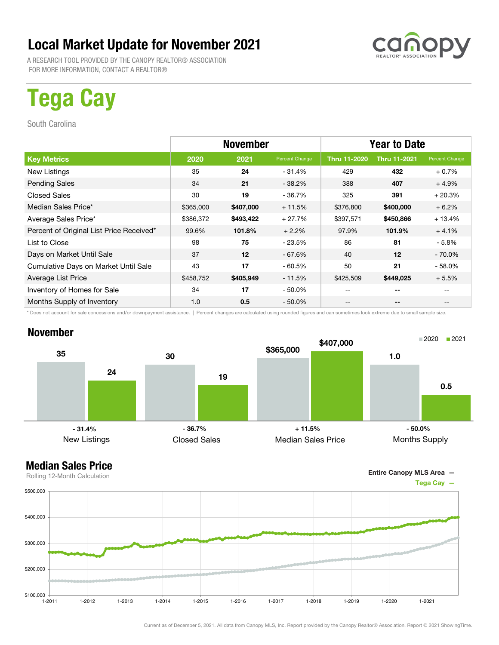A RESEARCH TOOL PROVIDED BY THE CANOPY REALTOR® ASSOCIATION FOR MORE INFORMATION, CONTACT A REALTOR®

# Tega Cay

South Carolina

|                                          | <b>November</b> |           |                | <b>Year to Date</b> |                     |                |
|------------------------------------------|-----------------|-----------|----------------|---------------------|---------------------|----------------|
| <b>Key Metrics</b>                       | 2020            | 2021      | Percent Change | Thru 11-2020        | <b>Thru 11-2021</b> | Percent Change |
| New Listings                             | 35              | 24        | $-31.4%$       | 429                 | 432                 | $+0.7%$        |
| <b>Pending Sales</b>                     | 34              | 21        | $-38.2\%$      | 388                 | 407                 | $+4.9%$        |
| <b>Closed Sales</b>                      | 30              | 19        | - 36.7%        | 325                 | 391                 | $+20.3%$       |
| Median Sales Price*                      | \$365,000       | \$407,000 | $+11.5%$       | \$376,800           | \$400,000           | $+6.2%$        |
| Average Sales Price*                     | \$386,372       | \$493,422 | $+27.7%$       | \$397,571           | \$450,866           | $+13.4%$       |
| Percent of Original List Price Received* | 99.6%           | 101.8%    | $+2.2%$        | 97.9%               | 101.9%              | $+4.1%$        |
| List to Close                            | 98              | 75        | - 23.5%        | 86                  | 81                  | - 5.8%         |
| Days on Market Until Sale                | 37              | 12        | $-67.6%$       | 40                  | 12                  | $-70.0\%$      |
| Cumulative Days on Market Until Sale     | 43              | 17        | $-60.5%$       | 50                  | 21                  | $-58.0%$       |
| Average List Price                       | \$458,752       | \$405,949 | - 11.5%        | \$425,509           | \$449,025           | $+5.5%$        |
| Inventory of Homes for Sale              | 34              | 17        | $-50.0\%$      | --                  | --                  |                |
| Months Supply of Inventory               | 1.0             | 0.5       | $-50.0\%$      | --                  | --                  |                |

\* Does not account for sale concessions and/or downpayment assistance. | Percent changes are calculated using rounded figures and can sometimes look extreme due to small sample size.

### November